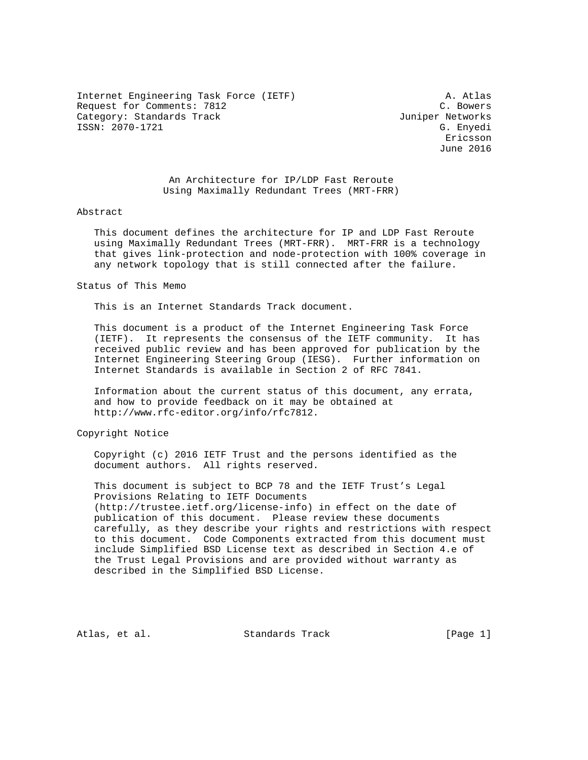Internet Engineering Task Force (IETF) A. Atlas Request for Comments: 7812 C. Bowers Category: Standards Track and the Category: Standards Track ISSN: 2070-1721 G. Enyedi

 Ericsson June 2016

# An Architecture for IP/LDP Fast Reroute Using Maximally Redundant Trees (MRT-FRR)

#### Abstract

 This document defines the architecture for IP and LDP Fast Reroute using Maximally Redundant Trees (MRT-FRR). MRT-FRR is a technology that gives link-protection and node-protection with 100% coverage in any network topology that is still connected after the failure.

#### Status of This Memo

This is an Internet Standards Track document.

 This document is a product of the Internet Engineering Task Force (IETF). It represents the consensus of the IETF community. It has received public review and has been approved for publication by the Internet Engineering Steering Group (IESG). Further information on Internet Standards is available in Section 2 of RFC 7841.

 Information about the current status of this document, any errata, and how to provide feedback on it may be obtained at http://www.rfc-editor.org/info/rfc7812.

## Copyright Notice

 Copyright (c) 2016 IETF Trust and the persons identified as the document authors. All rights reserved.

 This document is subject to BCP 78 and the IETF Trust's Legal Provisions Relating to IETF Documents (http://trustee.ietf.org/license-info) in effect on the date of publication of this document. Please review these documents carefully, as they describe your rights and restrictions with respect to this document. Code Components extracted from this document must include Simplified BSD License text as described in Section 4.e of the Trust Legal Provisions and are provided without warranty as described in the Simplified BSD License.

Atlas, et al. Standards Track [Page 1]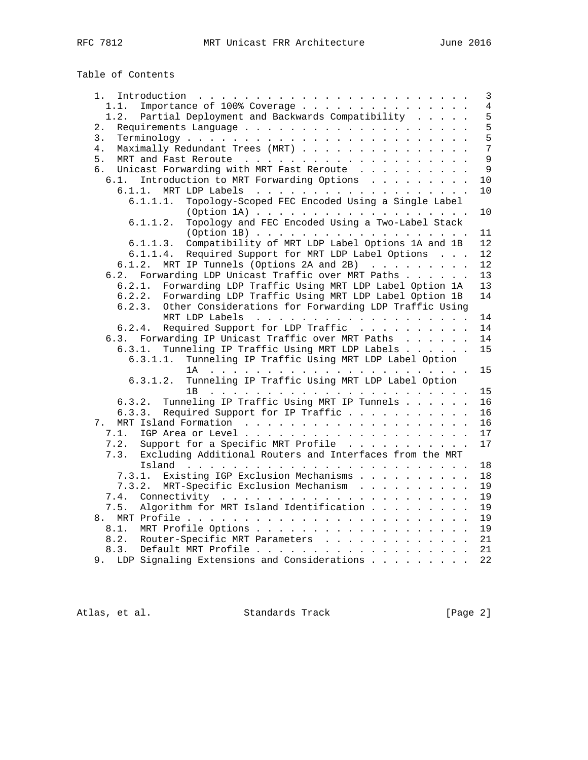Table of Contents

| Introduction $\ldots \ldots \ldots \ldots \ldots \ldots \ldots \ldots$<br>1. . | $\mathbf{3}$   |
|--------------------------------------------------------------------------------|----------------|
| Importance of 100% Coverage<br>1.1.                                            | $\overline{4}$ |
| Partial Deployment and Backwards Compatibility<br>1.2.                         | 5              |
| 2.                                                                             | 5              |
| 3.                                                                             | 5              |
| 4.<br>Maximally Redundant Trees (MRT)                                          | 7              |
| 5.                                                                             | 9              |
| Unicast Forwarding with MRT Fast Reroute<br>б.                                 | $\mathsf{Q}$   |
| Introduction to MRT Forwarding Options<br>6.1.                                 | 10             |
|                                                                                | 10             |
| Topology-Scoped FEC Encoded Using a Single Label<br>6.1.1.1.                   |                |
|                                                                                | 10             |
| Topology and FEC Encoded Using a Two-Label Stack<br>6.1.1.2.                   |                |
| (Option 1B)                                                                    | 11             |
| Compatibility of MRT LDP Label Options 1A and 1B<br>6.1.1.3.                   | 12             |
| Required Support for MRT LDP Label Options<br>6.1.1.4.                         | 12             |
| MRT IP Tunnels (Options 2A and 2B)<br>6.1.2.                                   | 12             |
| 6.2. Forwarding LDP Unicast Traffic over MRT Paths                             | 13             |
| 6.2.1.<br>Forwarding LDP Traffic Using MRT LDP Label Option 1A                 | 13             |
| Forwarding LDP Traffic Using MRT LDP Label Option 1B<br>6.2.2.                 | 14             |
| Other Considerations for Forwarding LDP Traffic Using<br>6.2.3.                |                |
|                                                                                | 14             |
| Required Support for LDP Traffic<br>6.2.4.                                     | 14             |
| 6.3. Forwarding IP Unicast Traffic over MRT Paths                              | 14             |
| Tunneling IP Traffic Using MRT LDP Labels<br>6.3.1.                            | 15             |
| Tunneling IP Traffic Using MRT LDP Label Option<br>6.3.1.1.                    |                |
|                                                                                | 15             |
| Tunneling IP Traffic Using MRT LDP Label Option<br>6.3.1.2.                    |                |
|                                                                                | 15             |
| Tunneling IP Traffic Using MRT IP Tunnels<br>6.3.2.                            | 16             |
| Required Support for IP Traffic<br>6.3.3.                                      | 16             |
| 7.                                                                             | 16             |
| 7.1.                                                                           | 17             |
| Support for a Specific MRT Profile<br>7.2.                                     | 17             |
| Excluding Additional Routers and Interfaces from the MRT<br>7.3.               |                |
|                                                                                | 18             |
| Existing IGP Exclusion Mechanisms<br>7.3.1.                                    | 18             |
| MRT-Specific Exclusion Mechanism<br>7.3.2.                                     | 19             |
| 7.4.                                                                           | 19             |
| Algorithm for MRT Island Identification<br>7.5.                                | 19             |
|                                                                                | 19             |
| 8.1.                                                                           | 19             |
| 8.2.<br>Router-Specific MRT Parameters                                         | 21             |
| 8.3.                                                                           | 21             |
| 9. LDP Signaling Extensions and Considerations                                 | 22             |

Atlas, et al. Standards Track [Page 2]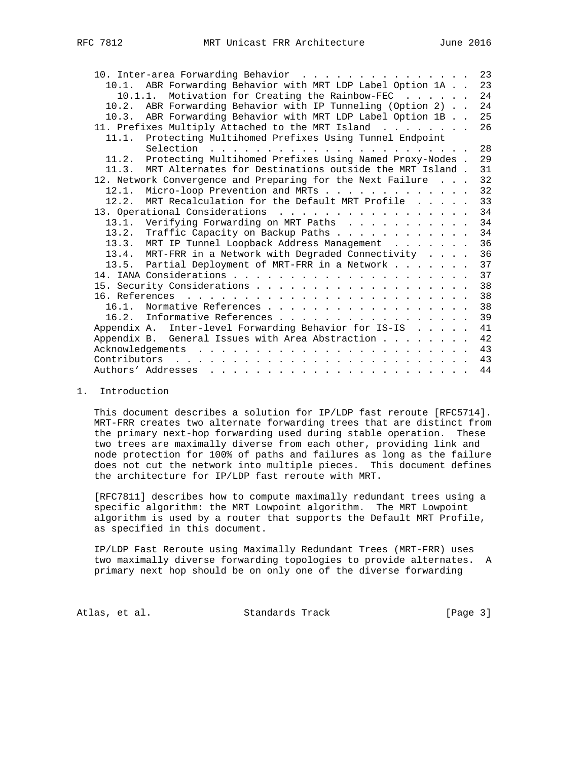| 10. Inter-area Forwarding Behavior                             |  | 23 |
|----------------------------------------------------------------|--|----|
| 10.1. ABR Forwarding Behavior with MRT LDP Label Option 1A     |  | 23 |
| Motivation for Creating the Rainbow-FEC<br>10.1.1.             |  | 24 |
| 10.2. ABR Forwarding Behavior with IP Tunneling (Option 2)     |  | 24 |
| 10.3. ABR Forwarding Behavior with MRT LDP Label Option 1B     |  | 25 |
| 11. Prefixes Multiply Attached to the MRT Island               |  | 26 |
| 11.1. Protecting Multihomed Prefixes Using Tunnel Endpoint     |  |    |
|                                                                |  | 28 |
| 11.2. Protecting Multihomed Prefixes Using Named Proxy-Nodes . |  | 29 |
| 11.3. MRT Alternates for Destinations outside the MRT Island.  |  | 31 |
| 12. Network Convergence and Preparing for the Next Failure     |  | 32 |
| Micro-loop Prevention and MRTs<br>12.1.                        |  | 32 |
| MRT Recalculation for the Default MRT Profile<br>12.2.         |  | 33 |
| 13. Operational Considerations                                 |  | 34 |
| 13.1. Verifying Forwarding on MRT Paths                        |  | 34 |
| 13.2. Traffic Capacity on Backup Paths                         |  | 34 |
| 13.3. MRT IP Tunnel Loopback Address Management                |  | 36 |
| 13.4. MRT-FRR in a Network with Degraded Connectivity          |  | 36 |
| 13.5. Partial Deployment of MRT-FRR in a Network               |  | 37 |
|                                                                |  | 37 |
|                                                                |  | 38 |
|                                                                |  | 38 |
| Normative References<br>16.1.                                  |  | 38 |
| 16.2. Informative References                                   |  | 39 |
| Inter-level Forwarding Behavior for IS-IS<br>Appendix A.       |  | 41 |
| Appendix B. General Issues with Area Abstraction               |  | 42 |
|                                                                |  | 43 |
| Contributors                                                   |  | 43 |
|                                                                |  | 44 |

## 1. Introduction

 This document describes a solution for IP/LDP fast reroute [RFC5714]. MRT-FRR creates two alternate forwarding trees that are distinct from the primary next-hop forwarding used during stable operation. These two trees are maximally diverse from each other, providing link and node protection for 100% of paths and failures as long as the failure does not cut the network into multiple pieces. This document defines the architecture for IP/LDP fast reroute with MRT.

 [RFC7811] describes how to compute maximally redundant trees using a specific algorithm: the MRT Lowpoint algorithm. The MRT Lowpoint algorithm is used by a router that supports the Default MRT Profile, as specified in this document.

 IP/LDP Fast Reroute using Maximally Redundant Trees (MRT-FRR) uses two maximally diverse forwarding topologies to provide alternates. A primary next hop should be on only one of the diverse forwarding

Atlas, et al. Standards Track [Page 3]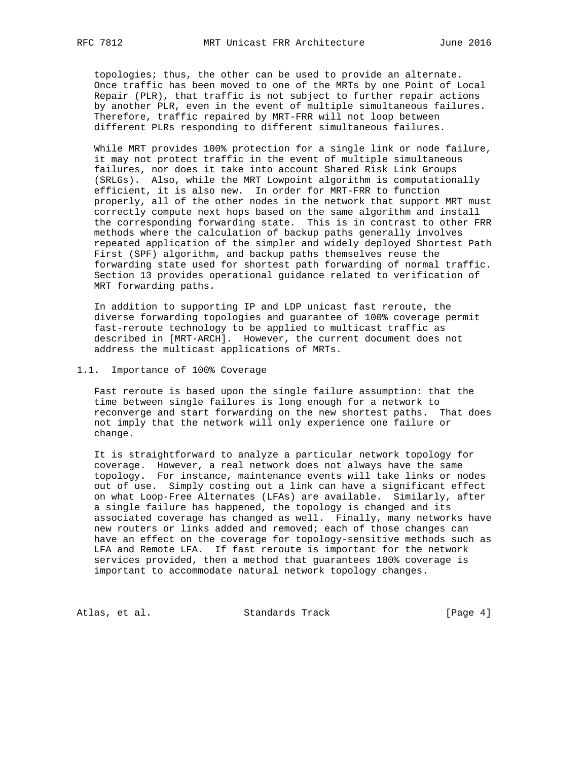topologies; thus, the other can be used to provide an alternate. Once traffic has been moved to one of the MRTs by one Point of Local Repair (PLR), that traffic is not subject to further repair actions by another PLR, even in the event of multiple simultaneous failures. Therefore, traffic repaired by MRT-FRR will not loop between different PLRs responding to different simultaneous failures.

 While MRT provides 100% protection for a single link or node failure, it may not protect traffic in the event of multiple simultaneous failures, nor does it take into account Shared Risk Link Groups (SRLGs). Also, while the MRT Lowpoint algorithm is computationally efficient, it is also new. In order for MRT-FRR to function properly, all of the other nodes in the network that support MRT must correctly compute next hops based on the same algorithm and install the corresponding forwarding state. This is in contrast to other FRR methods where the calculation of backup paths generally involves repeated application of the simpler and widely deployed Shortest Path First (SPF) algorithm, and backup paths themselves reuse the forwarding state used for shortest path forwarding of normal traffic. Section 13 provides operational guidance related to verification of MRT forwarding paths.

 In addition to supporting IP and LDP unicast fast reroute, the diverse forwarding topologies and guarantee of 100% coverage permit fast-reroute technology to be applied to multicast traffic as described in [MRT-ARCH]. However, the current document does not address the multicast applications of MRTs.

## 1.1. Importance of 100% Coverage

 Fast reroute is based upon the single failure assumption: that the time between single failures is long enough for a network to reconverge and start forwarding on the new shortest paths. That does not imply that the network will only experience one failure or change.

 It is straightforward to analyze a particular network topology for coverage. However, a real network does not always have the same topology. For instance, maintenance events will take links or nodes out of use. Simply costing out a link can have a significant effect on what Loop-Free Alternates (LFAs) are available. Similarly, after a single failure has happened, the topology is changed and its associated coverage has changed as well. Finally, many networks have new routers or links added and removed; each of those changes can have an effect on the coverage for topology-sensitive methods such as LFA and Remote LFA. If fast reroute is important for the network services provided, then a method that guarantees 100% coverage is important to accommodate natural network topology changes.

Atlas, et al. Standards Track [Page 4]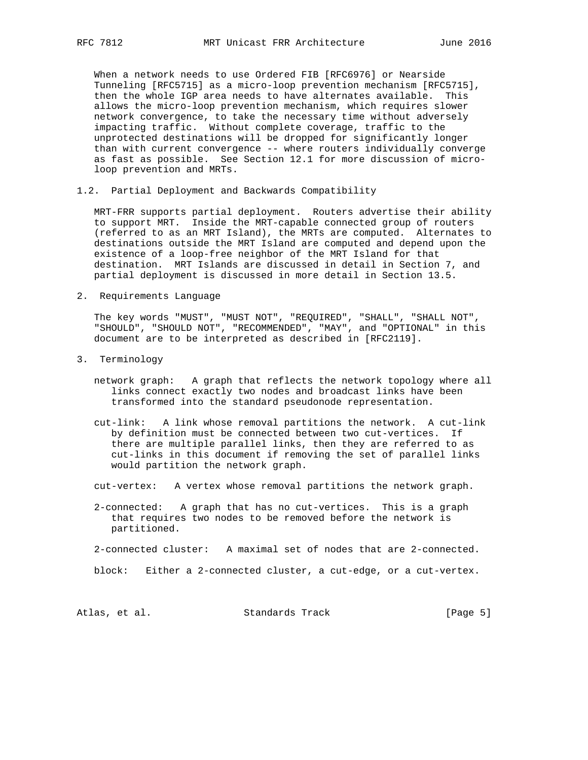When a network needs to use Ordered FIB [RFC6976] or Nearside Tunneling [RFC5715] as a micro-loop prevention mechanism [RFC5715], then the whole IGP area needs to have alternates available. This allows the micro-loop prevention mechanism, which requires slower network convergence, to take the necessary time without adversely impacting traffic. Without complete coverage, traffic to the unprotected destinations will be dropped for significantly longer than with current convergence -- where routers individually converge as fast as possible. See Section 12.1 for more discussion of micro loop prevention and MRTs.

1.2. Partial Deployment and Backwards Compatibility

 MRT-FRR supports partial deployment. Routers advertise their ability to support MRT. Inside the MRT-capable connected group of routers (referred to as an MRT Island), the MRTs are computed. Alternates to destinations outside the MRT Island are computed and depend upon the existence of a loop-free neighbor of the MRT Island for that destination. MRT Islands are discussed in detail in Section 7, and partial deployment is discussed in more detail in Section 13.5.

2. Requirements Language

 The key words "MUST", "MUST NOT", "REQUIRED", "SHALL", "SHALL NOT", "SHOULD", "SHOULD NOT", "RECOMMENDED", "MAY", and "OPTIONAL" in this document are to be interpreted as described in [RFC2119].

- 3. Terminology
	- network graph: A graph that reflects the network topology where all links connect exactly two nodes and broadcast links have been transformed into the standard pseudonode representation.
	- cut-link: A link whose removal partitions the network. A cut-link by definition must be connected between two cut-vertices. If there are multiple parallel links, then they are referred to as cut-links in this document if removing the set of parallel links would partition the network graph.
	- cut-vertex: A vertex whose removal partitions the network graph.
	- 2-connected: A graph that has no cut-vertices. This is a graph that requires two nodes to be removed before the network is partitioned.
	- 2-connected cluster: A maximal set of nodes that are 2-connected.
	- block: Either a 2-connected cluster, a cut-edge, or a cut-vertex.

Atlas, et al. Standards Track [Page 5]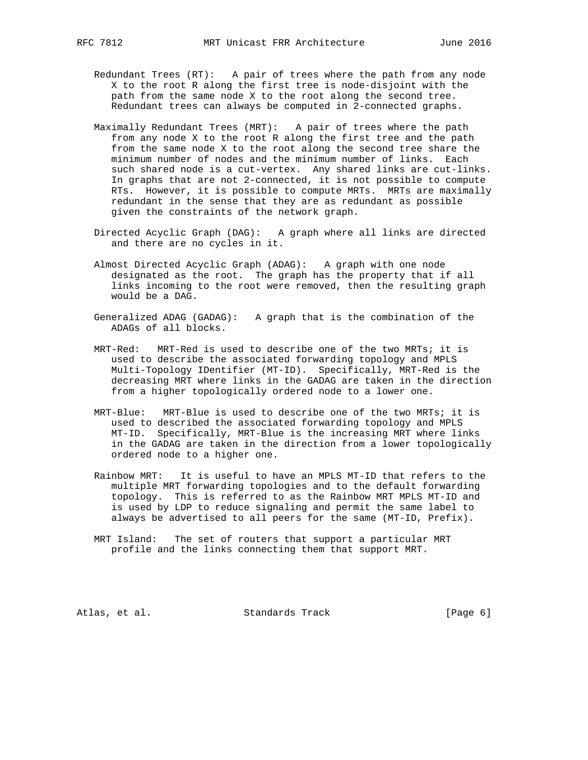- Redundant Trees (RT): A pair of trees where the path from any node X to the root R along the first tree is node-disjoint with the path from the same node X to the root along the second tree. Redundant trees can always be computed in 2-connected graphs.
- Maximally Redundant Trees (MRT): A pair of trees where the path from any node X to the root R along the first tree and the path from the same node X to the root along the second tree share the minimum number of nodes and the minimum number of links. Each such shared node is a cut-vertex. Any shared links are cut-links. In graphs that are not 2-connected, it is not possible to compute RTs. However, it is possible to compute MRTs. MRTs are maximally redundant in the sense that they are as redundant as possible given the constraints of the network graph.
- Directed Acyclic Graph (DAG): A graph where all links are directed and there are no cycles in it.
- Almost Directed Acyclic Graph (ADAG): A graph with one node designated as the root. The graph has the property that if all links incoming to the root were removed, then the resulting graph would be a DAG.
- Generalized ADAG (GADAG): A graph that is the combination of the ADAGs of all blocks.
- MRT-Red: MRT-Red is used to describe one of the two MRTs; it is used to describe the associated forwarding topology and MPLS Multi-Topology IDentifier (MT-ID). Specifically, MRT-Red is the decreasing MRT where links in the GADAG are taken in the direction from a higher topologically ordered node to a lower one.
- MRT-Blue: MRT-Blue is used to describe one of the two MRTs; it is used to described the associated forwarding topology and MPLS MT-ID. Specifically, MRT-Blue is the increasing MRT where links in the GADAG are taken in the direction from a lower topologically ordered node to a higher one.
- Rainbow MRT: It is useful to have an MPLS MT-ID that refers to the multiple MRT forwarding topologies and to the default forwarding topology. This is referred to as the Rainbow MRT MPLS MT-ID and is used by LDP to reduce signaling and permit the same label to always be advertised to all peers for the same (MT-ID, Prefix).
- MRT Island: The set of routers that support a particular MRT profile and the links connecting them that support MRT.

Atlas, et al. Standards Track [Page 6]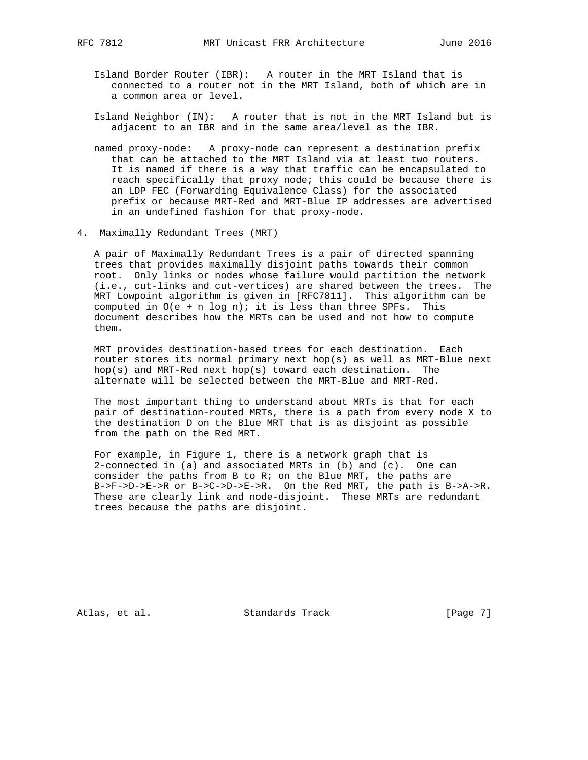- Island Border Router (IBR): A router in the MRT Island that is connected to a router not in the MRT Island, both of which are in
- Island Neighbor (IN): A router that is not in the MRT Island but is adjacent to an IBR and in the same area/level as the IBR.
- named proxy-node: A proxy-node can represent a destination prefix that can be attached to the MRT Island via at least two routers. It is named if there is a way that traffic can be encapsulated to reach specifically that proxy node; this could be because there is an LDP FEC (Forwarding Equivalence Class) for the associated prefix or because MRT-Red and MRT-Blue IP addresses are advertised in an undefined fashion for that proxy-node.
- 4. Maximally Redundant Trees (MRT)

a common area or level.

 A pair of Maximally Redundant Trees is a pair of directed spanning trees that provides maximally disjoint paths towards their common root. Only links or nodes whose failure would partition the network (i.e., cut-links and cut-vertices) are shared between the trees. The MRT Lowpoint algorithm is given in [RFC7811]. This algorithm can be computed in  $O(e + n \log n)$ ; it is less than three SPFs. This document describes how the MRTs can be used and not how to compute them.

 MRT provides destination-based trees for each destination. Each router stores its normal primary next hop(s) as well as MRT-Blue next hop(s) and MRT-Red next hop(s) toward each destination. The alternate will be selected between the MRT-Blue and MRT-Red.

 The most important thing to understand about MRTs is that for each pair of destination-routed MRTs, there is a path from every node X to the destination D on the Blue MRT that is as disjoint as possible from the path on the Red MRT.

 For example, in Figure 1, there is a network graph that is 2-connected in (a) and associated MRTs in (b) and (c). One can consider the paths from B to R; on the Blue MRT, the paths are B->F->D->E->R or B->C->D->E->R. On the Red MRT, the path is B->A->R. These are clearly link and node-disjoint. These MRTs are redundant trees because the paths are disjoint.

Atlas, et al. Standards Track [Page 7]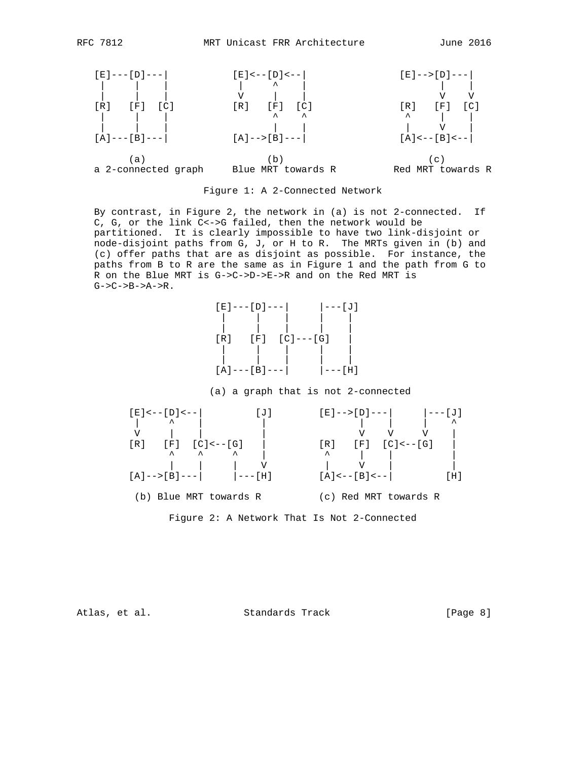



 By contrast, in Figure 2, the network in (a) is not 2-connected. If C, G, or the link C<->G failed, then the network would be partitioned. It is clearly impossible to have two link-disjoint or node-disjoint paths from G, J, or H to R. The MRTs given in (b) and (c) offer paths that are as disjoint as possible. For instance, the paths from B to R are the same as in Figure 1 and the path from G to R on the Blue MRT is G->C->D->E->R and on the Red MRT is G->C->B->A->R.



# (a) a graph that is not 2-connected



Figure 2: A Network That Is Not 2-Connected

Atlas, et al. Standards Track [Page 8]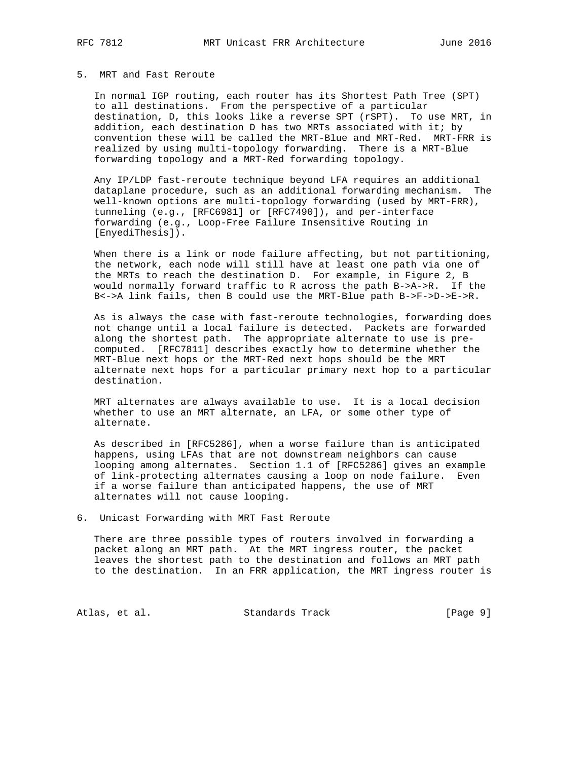# 5. MRT and Fast Reroute

 In normal IGP routing, each router has its Shortest Path Tree (SPT) to all destinations. From the perspective of a particular destination, D, this looks like a reverse SPT (rSPT). To use MRT, in addition, each destination D has two MRTs associated with it; by convention these will be called the MRT-Blue and MRT-Red. MRT-FRR is realized by using multi-topology forwarding. There is a MRT-Blue forwarding topology and a MRT-Red forwarding topology.

 Any IP/LDP fast-reroute technique beyond LFA requires an additional dataplane procedure, such as an additional forwarding mechanism. The well-known options are multi-topology forwarding (used by MRT-FRR), tunneling (e.g., [RFC6981] or [RFC7490]), and per-interface forwarding (e.g., Loop-Free Failure Insensitive Routing in [EnyediThesis]).

 When there is a link or node failure affecting, but not partitioning, the network, each node will still have at least one path via one of the MRTs to reach the destination D. For example, in Figure 2, B would normally forward traffic to R across the path B->A->R. If the B<->A link fails, then B could use the MRT-Blue path B->F->D->E->R.

 As is always the case with fast-reroute technologies, forwarding does not change until a local failure is detected. Packets are forwarded along the shortest path. The appropriate alternate to use is pre computed. [RFC7811] describes exactly how to determine whether the MRT-Blue next hops or the MRT-Red next hops should be the MRT alternate next hops for a particular primary next hop to a particular destination.

 MRT alternates are always available to use. It is a local decision whether to use an MRT alternate, an LFA, or some other type of alternate.

 As described in [RFC5286], when a worse failure than is anticipated happens, using LFAs that are not downstream neighbors can cause looping among alternates. Section 1.1 of [RFC5286] gives an example of link-protecting alternates causing a loop on node failure. Even if a worse failure than anticipated happens, the use of MRT alternates will not cause looping.

## 6. Unicast Forwarding with MRT Fast Reroute

 There are three possible types of routers involved in forwarding a packet along an MRT path. At the MRT ingress router, the packet leaves the shortest path to the destination and follows an MRT path to the destination. In an FRR application, the MRT ingress router is

Atlas, et al. Standards Track [Page 9]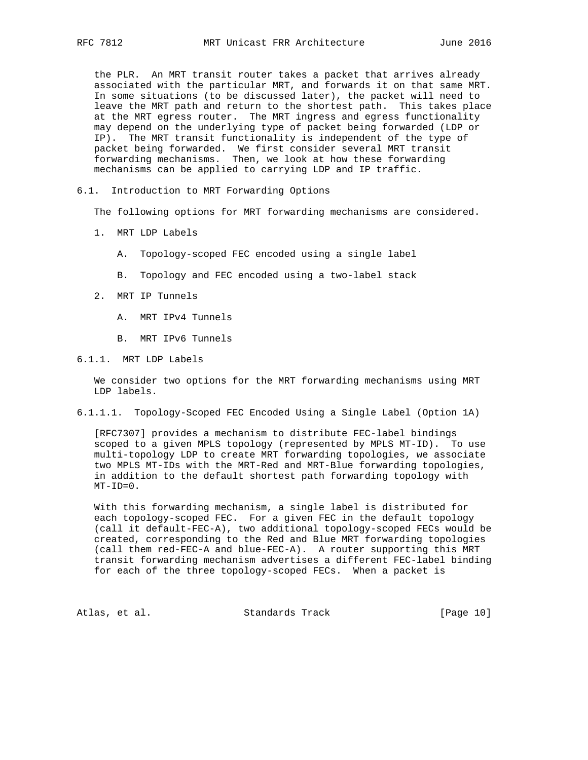the PLR. An MRT transit router takes a packet that arrives already associated with the particular MRT, and forwards it on that same MRT. In some situations (to be discussed later), the packet will need to leave the MRT path and return to the shortest path. This takes place at the MRT egress router. The MRT ingress and egress functionality may depend on the underlying type of packet being forwarded (LDP or IP). The MRT transit functionality is independent of the type of packet being forwarded. We first consider several MRT transit forwarding mechanisms. Then, we look at how these forwarding mechanisms can be applied to carrying LDP and IP traffic.

## 6.1. Introduction to MRT Forwarding Options

The following options for MRT forwarding mechanisms are considered.

- 1. MRT LDP Labels
	- A. Topology-scoped FEC encoded using a single label
	- B. Topology and FEC encoded using a two-label stack
- 2. MRT IP Tunnels
	- A. MRT IPv4 Tunnels
	- B. MRT IPv6 Tunnels

6.1.1. MRT LDP Labels

 We consider two options for the MRT forwarding mechanisms using MRT LDP labels.

6.1.1.1. Topology-Scoped FEC Encoded Using a Single Label (Option 1A)

 [RFC7307] provides a mechanism to distribute FEC-label bindings scoped to a given MPLS topology (represented by MPLS MT-ID). To use multi-topology LDP to create MRT forwarding topologies, we associate two MPLS MT-IDs with the MRT-Red and MRT-Blue forwarding topologies, in addition to the default shortest path forwarding topology with  $MT-ID=0$ .

 With this forwarding mechanism, a single label is distributed for each topology-scoped FEC. For a given FEC in the default topology (call it default-FEC-A), two additional topology-scoped FECs would be created, corresponding to the Red and Blue MRT forwarding topologies (call them red-FEC-A and blue-FEC-A). A router supporting this MRT transit forwarding mechanism advertises a different FEC-label binding for each of the three topology-scoped FECs. When a packet is

Atlas, et al. Standards Track [Page 10]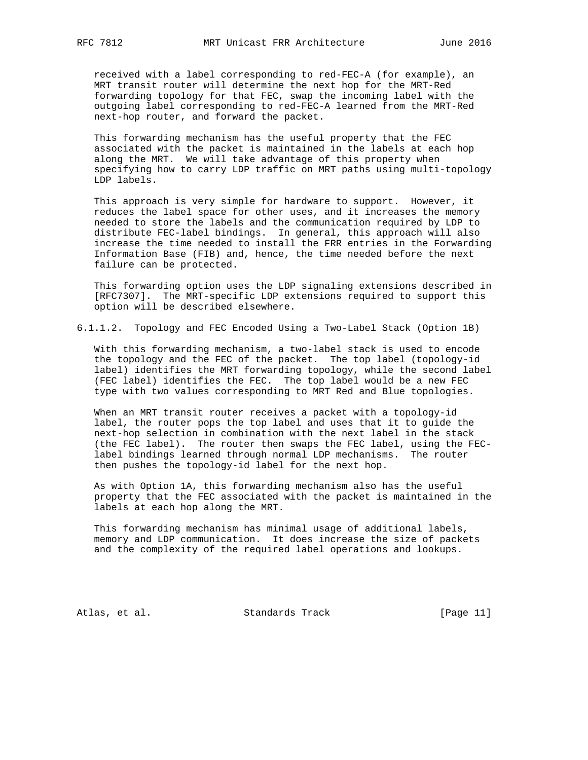received with a label corresponding to red-FEC-A (for example), an MRT transit router will determine the next hop for the MRT-Red forwarding topology for that FEC, swap the incoming label with the outgoing label corresponding to red-FEC-A learned from the MRT-Red next-hop router, and forward the packet.

 This forwarding mechanism has the useful property that the FEC associated with the packet is maintained in the labels at each hop along the MRT. We will take advantage of this property when specifying how to carry LDP traffic on MRT paths using multi-topology LDP labels.

 This approach is very simple for hardware to support. However, it reduces the label space for other uses, and it increases the memory needed to store the labels and the communication required by LDP to distribute FEC-label bindings. In general, this approach will also increase the time needed to install the FRR entries in the Forwarding Information Base (FIB) and, hence, the time needed before the next failure can be protected.

 This forwarding option uses the LDP signaling extensions described in [RFC7307]. The MRT-specific LDP extensions required to support this option will be described elsewhere.

6.1.1.2. Topology and FEC Encoded Using a Two-Label Stack (Option 1B)

 With this forwarding mechanism, a two-label stack is used to encode the topology and the FEC of the packet. The top label (topology-id label) identifies the MRT forwarding topology, while the second label (FEC label) identifies the FEC. The top label would be a new FEC type with two values corresponding to MRT Red and Blue topologies.

 When an MRT transit router receives a packet with a topology-id label, the router pops the top label and uses that it to guide the next-hop selection in combination with the next label in the stack (the FEC label). The router then swaps the FEC label, using the FEC label bindings learned through normal LDP mechanisms. The router then pushes the topology-id label for the next hop.

 As with Option 1A, this forwarding mechanism also has the useful property that the FEC associated with the packet is maintained in the labels at each hop along the MRT.

 This forwarding mechanism has minimal usage of additional labels, memory and LDP communication. It does increase the size of packets and the complexity of the required label operations and lookups.

Atlas, et al. Standards Track [Page 11]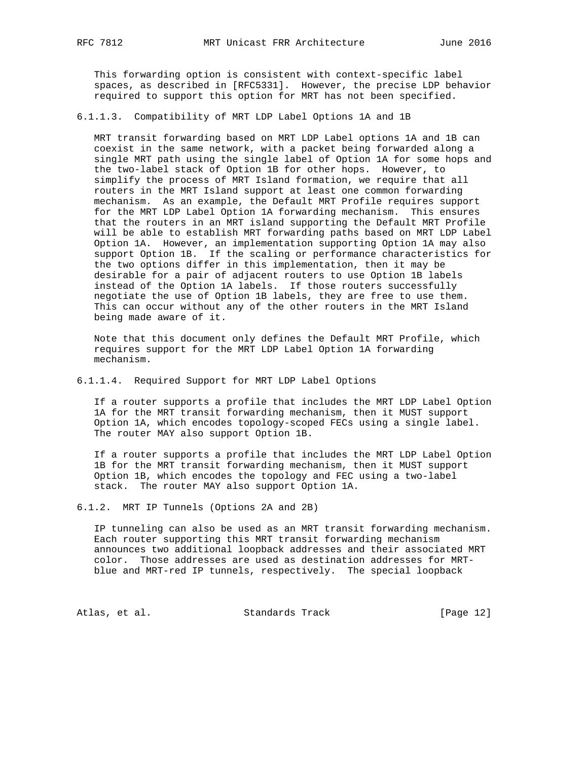This forwarding option is consistent with context-specific label spaces, as described in [RFC5331]. However, the precise LDP behavior required to support this option for MRT has not been specified.

6.1.1.3. Compatibility of MRT LDP Label Options 1A and 1B

 MRT transit forwarding based on MRT LDP Label options 1A and 1B can coexist in the same network, with a packet being forwarded along a single MRT path using the single label of Option 1A for some hops and the two-label stack of Option 1B for other hops. However, to simplify the process of MRT Island formation, we require that all routers in the MRT Island support at least one common forwarding mechanism. As an example, the Default MRT Profile requires support for the MRT LDP Label Option 1A forwarding mechanism. This ensures that the routers in an MRT island supporting the Default MRT Profile will be able to establish MRT forwarding paths based on MRT LDP Label Option 1A. However, an implementation supporting Option 1A may also support Option 1B. If the scaling or performance characteristics for the two options differ in this implementation, then it may be desirable for a pair of adjacent routers to use Option 1B labels instead of the Option 1A labels. If those routers successfully negotiate the use of Option 1B labels, they are free to use them. This can occur without any of the other routers in the MRT Island being made aware of it.

 Note that this document only defines the Default MRT Profile, which requires support for the MRT LDP Label Option 1A forwarding mechanism.

6.1.1.4. Required Support for MRT LDP Label Options

 If a router supports a profile that includes the MRT LDP Label Option 1A for the MRT transit forwarding mechanism, then it MUST support Option 1A, which encodes topology-scoped FECs using a single label. The router MAY also support Option 1B.

 If a router supports a profile that includes the MRT LDP Label Option 1B for the MRT transit forwarding mechanism, then it MUST support Option 1B, which encodes the topology and FEC using a two-label stack. The router MAY also support Option 1A.

6.1.2. MRT IP Tunnels (Options 2A and 2B)

 IP tunneling can also be used as an MRT transit forwarding mechanism. Each router supporting this MRT transit forwarding mechanism announces two additional loopback addresses and their associated MRT color. Those addresses are used as destination addresses for MRT blue and MRT-red IP tunnels, respectively. The special loopback

Atlas, et al. Standards Track [Page 12]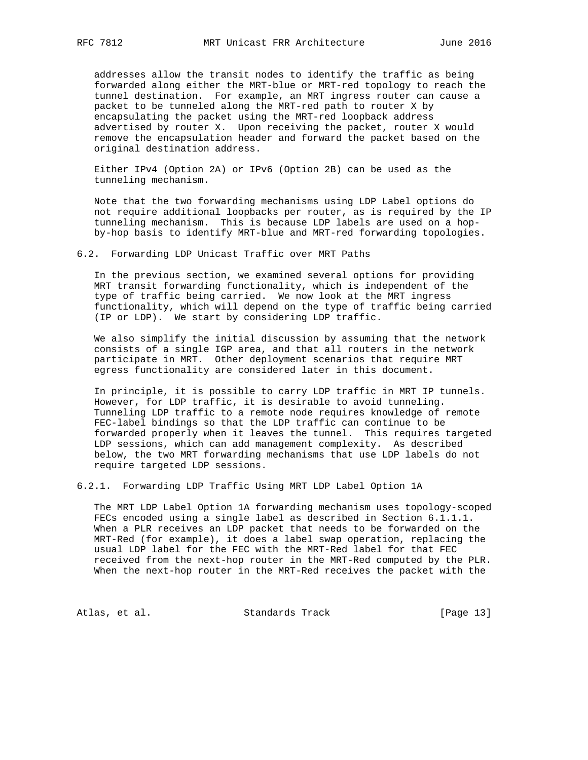addresses allow the transit nodes to identify the traffic as being forwarded along either the MRT-blue or MRT-red topology to reach the tunnel destination. For example, an MRT ingress router can cause a packet to be tunneled along the MRT-red path to router X by encapsulating the packet using the MRT-red loopback address advertised by router X. Upon receiving the packet, router X would remove the encapsulation header and forward the packet based on the original destination address.

 Either IPv4 (Option 2A) or IPv6 (Option 2B) can be used as the tunneling mechanism.

 Note that the two forwarding mechanisms using LDP Label options do not require additional loopbacks per router, as is required by the IP tunneling mechanism. This is because LDP labels are used on a hop by-hop basis to identify MRT-blue and MRT-red forwarding topologies.

6.2. Forwarding LDP Unicast Traffic over MRT Paths

 In the previous section, we examined several options for providing MRT transit forwarding functionality, which is independent of the type of traffic being carried. We now look at the MRT ingress functionality, which will depend on the type of traffic being carried (IP or LDP). We start by considering LDP traffic.

 We also simplify the initial discussion by assuming that the network consists of a single IGP area, and that all routers in the network participate in MRT. Other deployment scenarios that require MRT egress functionality are considered later in this document.

 In principle, it is possible to carry LDP traffic in MRT IP tunnels. However, for LDP traffic, it is desirable to avoid tunneling. Tunneling LDP traffic to a remote node requires knowledge of remote FEC-label bindings so that the LDP traffic can continue to be forwarded properly when it leaves the tunnel. This requires targeted LDP sessions, which can add management complexity. As described below, the two MRT forwarding mechanisms that use LDP labels do not require targeted LDP sessions.

6.2.1. Forwarding LDP Traffic Using MRT LDP Label Option 1A

 The MRT LDP Label Option 1A forwarding mechanism uses topology-scoped FECs encoded using a single label as described in Section 6.1.1.1. When a PLR receives an LDP packet that needs to be forwarded on the MRT-Red (for example), it does a label swap operation, replacing the usual LDP label for the FEC with the MRT-Red label for that FEC received from the next-hop router in the MRT-Red computed by the PLR. When the next-hop router in the MRT-Red receives the packet with the

Atlas, et al. Standards Track [Page 13]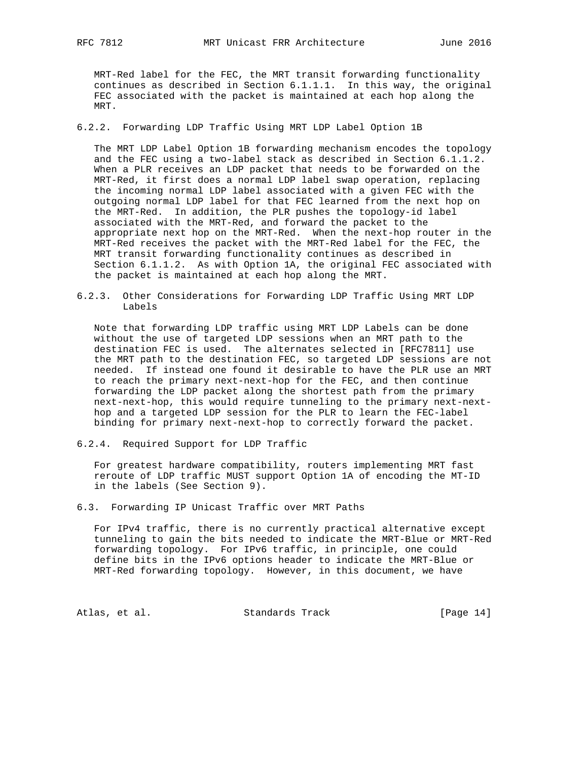MRT-Red label for the FEC, the MRT transit forwarding functionality continues as described in Section 6.1.1.1. In this way, the original FEC associated with the packet is maintained at each hop along the MRT.

6.2.2. Forwarding LDP Traffic Using MRT LDP Label Option 1B

 The MRT LDP Label Option 1B forwarding mechanism encodes the topology and the FEC using a two-label stack as described in Section 6.1.1.2. When a PLR receives an LDP packet that needs to be forwarded on the MRT-Red, it first does a normal LDP label swap operation, replacing the incoming normal LDP label associated with a given FEC with the outgoing normal LDP label for that FEC learned from the next hop on the MRT-Red. In addition, the PLR pushes the topology-id label associated with the MRT-Red, and forward the packet to the appropriate next hop on the MRT-Red. When the next-hop router in the MRT-Red receives the packet with the MRT-Red label for the FEC, the MRT transit forwarding functionality continues as described in Section 6.1.1.2. As with Option 1A, the original FEC associated with the packet is maintained at each hop along the MRT.

6.2.3. Other Considerations for Forwarding LDP Traffic Using MRT LDP Labels

 Note that forwarding LDP traffic using MRT LDP Labels can be done without the use of targeted LDP sessions when an MRT path to the destination FEC is used. The alternates selected in [RFC7811] use the MRT path to the destination FEC, so targeted LDP sessions are not needed. If instead one found it desirable to have the PLR use an MRT to reach the primary next-next-hop for the FEC, and then continue forwarding the LDP packet along the shortest path from the primary next-next-hop, this would require tunneling to the primary next-next hop and a targeted LDP session for the PLR to learn the FEC-label binding for primary next-next-hop to correctly forward the packet.

6.2.4. Required Support for LDP Traffic

 For greatest hardware compatibility, routers implementing MRT fast reroute of LDP traffic MUST support Option 1A of encoding the MT-ID in the labels (See Section 9).

6.3. Forwarding IP Unicast Traffic over MRT Paths

 For IPv4 traffic, there is no currently practical alternative except tunneling to gain the bits needed to indicate the MRT-Blue or MRT-Red forwarding topology. For IPv6 traffic, in principle, one could define bits in the IPv6 options header to indicate the MRT-Blue or MRT-Red forwarding topology. However, in this document, we have

Atlas, et al. Standards Track [Page 14]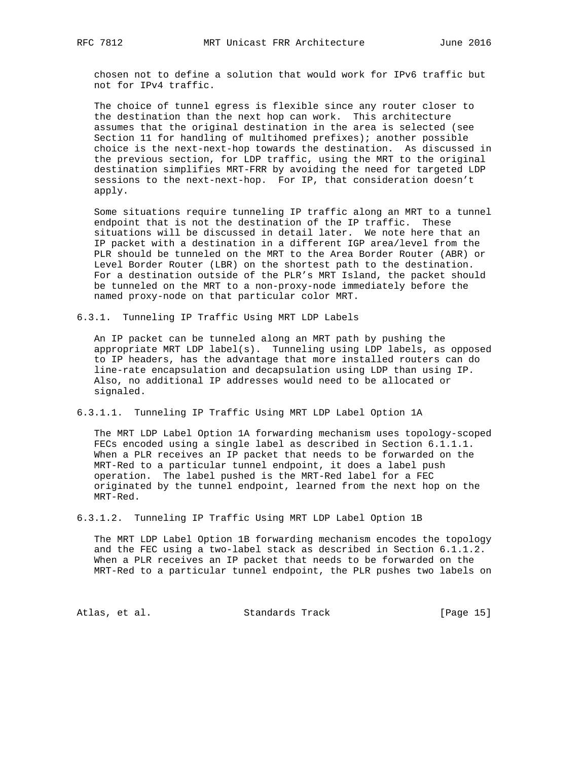chosen not to define a solution that would work for IPv6 traffic but not for IPv4 traffic.

 The choice of tunnel egress is flexible since any router closer to the destination than the next hop can work. This architecture assumes that the original destination in the area is selected (see Section 11 for handling of multihomed prefixes); another possible choice is the next-next-hop towards the destination. As discussed in the previous section, for LDP traffic, using the MRT to the original destination simplifies MRT-FRR by avoiding the need for targeted LDP sessions to the next-next-hop. For IP, that consideration doesn't apply.

 Some situations require tunneling IP traffic along an MRT to a tunnel endpoint that is not the destination of the IP traffic. These situations will be discussed in detail later. We note here that an IP packet with a destination in a different IGP area/level from the PLR should be tunneled on the MRT to the Area Border Router (ABR) or Level Border Router (LBR) on the shortest path to the destination. For a destination outside of the PLR's MRT Island, the packet should be tunneled on the MRT to a non-proxy-node immediately before the named proxy-node on that particular color MRT.

6.3.1. Tunneling IP Traffic Using MRT LDP Labels

 An IP packet can be tunneled along an MRT path by pushing the appropriate MRT LDP label(s). Tunneling using LDP labels, as opposed to IP headers, has the advantage that more installed routers can do line-rate encapsulation and decapsulation using LDP than using IP. Also, no additional IP addresses would need to be allocated or signaled.

6.3.1.1. Tunneling IP Traffic Using MRT LDP Label Option 1A

 The MRT LDP Label Option 1A forwarding mechanism uses topology-scoped FECs encoded using a single label as described in Section 6.1.1.1. When a PLR receives an IP packet that needs to be forwarded on the MRT-Red to a particular tunnel endpoint, it does a label push operation. The label pushed is the MRT-Red label for a FEC originated by the tunnel endpoint, learned from the next hop on the MRT-Red.

6.3.1.2. Tunneling IP Traffic Using MRT LDP Label Option 1B

 The MRT LDP Label Option 1B forwarding mechanism encodes the topology and the FEC using a two-label stack as described in Section 6.1.1.2. When a PLR receives an IP packet that needs to be forwarded on the MRT-Red to a particular tunnel endpoint, the PLR pushes two labels on

Atlas, et al. Standards Track [Page 15]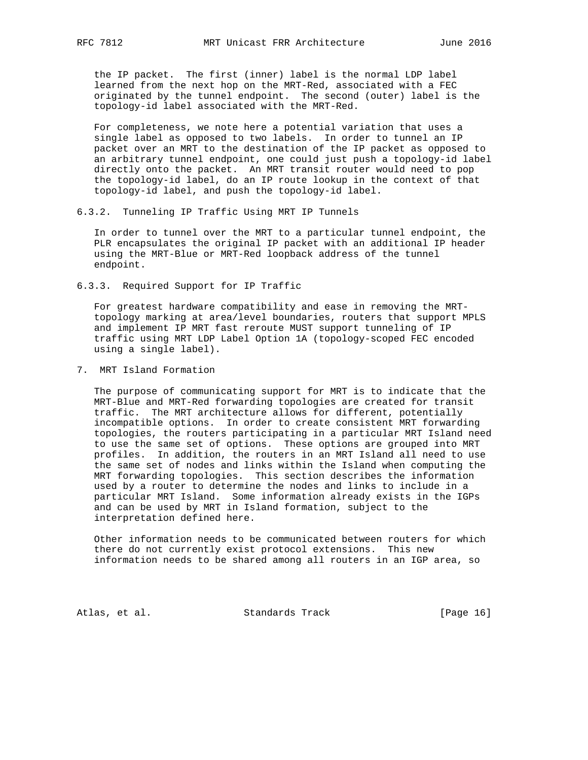the IP packet. The first (inner) label is the normal LDP label learned from the next hop on the MRT-Red, associated with a FEC originated by the tunnel endpoint. The second (outer) label is the topology-id label associated with the MRT-Red.

 For completeness, we note here a potential variation that uses a single label as opposed to two labels. In order to tunnel an IP packet over an MRT to the destination of the IP packet as opposed to an arbitrary tunnel endpoint, one could just push a topology-id label directly onto the packet. An MRT transit router would need to pop the topology-id label, do an IP route lookup in the context of that topology-id label, and push the topology-id label.

6.3.2. Tunneling IP Traffic Using MRT IP Tunnels

 In order to tunnel over the MRT to a particular tunnel endpoint, the PLR encapsulates the original IP packet with an additional IP header using the MRT-Blue or MRT-Red loopback address of the tunnel endpoint.

6.3.3. Required Support for IP Traffic

 For greatest hardware compatibility and ease in removing the MRT topology marking at area/level boundaries, routers that support MPLS and implement IP MRT fast reroute MUST support tunneling of IP traffic using MRT LDP Label Option 1A (topology-scoped FEC encoded using a single label).

7. MRT Island Formation

 The purpose of communicating support for MRT is to indicate that the MRT-Blue and MRT-Red forwarding topologies are created for transit traffic. The MRT architecture allows for different, potentially incompatible options. In order to create consistent MRT forwarding topologies, the routers participating in a particular MRT Island need to use the same set of options. These options are grouped into MRT profiles. In addition, the routers in an MRT Island all need to use the same set of nodes and links within the Island when computing the MRT forwarding topologies. This section describes the information used by a router to determine the nodes and links to include in a particular MRT Island. Some information already exists in the IGPs and can be used by MRT in Island formation, subject to the interpretation defined here.

 Other information needs to be communicated between routers for which there do not currently exist protocol extensions. This new information needs to be shared among all routers in an IGP area, so

Atlas, et al. Standards Track [Page 16]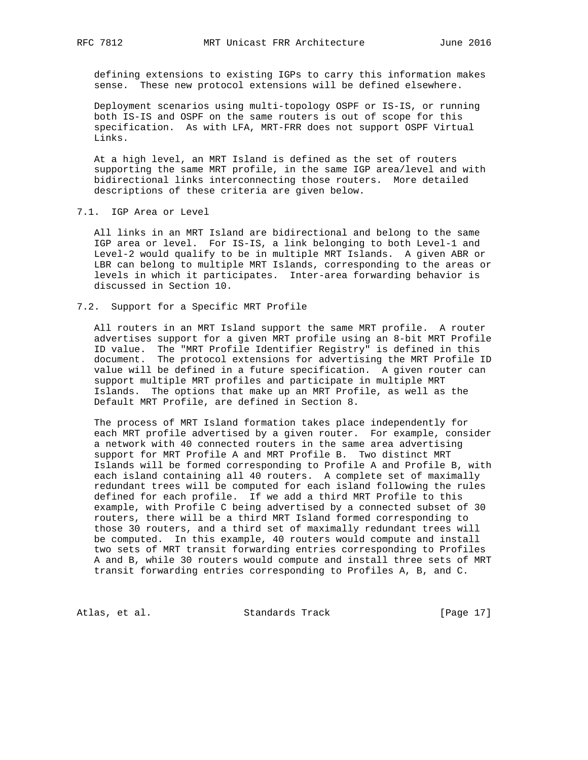defining extensions to existing IGPs to carry this information makes sense. These new protocol extensions will be defined elsewhere.

 Deployment scenarios using multi-topology OSPF or IS-IS, or running both IS-IS and OSPF on the same routers is out of scope for this specification. As with LFA, MRT-FRR does not support OSPF Virtual Links.

 At a high level, an MRT Island is defined as the set of routers supporting the same MRT profile, in the same IGP area/level and with bidirectional links interconnecting those routers. More detailed descriptions of these criteria are given below.

7.1. IGP Area or Level

 All links in an MRT Island are bidirectional and belong to the same IGP area or level. For IS-IS, a link belonging to both Level-1 and Level-2 would qualify to be in multiple MRT Islands. A given ABR or LBR can belong to multiple MRT Islands, corresponding to the areas or levels in which it participates. Inter-area forwarding behavior is discussed in Section 10.

7.2. Support for a Specific MRT Profile

 All routers in an MRT Island support the same MRT profile. A router advertises support for a given MRT profile using an 8-bit MRT Profile ID value. The "MRT Profile Identifier Registry" is defined in this document. The protocol extensions for advertising the MRT Profile ID value will be defined in a future specification. A given router can support multiple MRT profiles and participate in multiple MRT Islands. The options that make up an MRT Profile, as well as the Default MRT Profile, are defined in Section 8.

 The process of MRT Island formation takes place independently for each MRT profile advertised by a given router. For example, consider a network with 40 connected routers in the same area advertising support for MRT Profile A and MRT Profile B. Two distinct MRT Islands will be formed corresponding to Profile A and Profile B, with each island containing all 40 routers. A complete set of maximally redundant trees will be computed for each island following the rules defined for each profile. If we add a third MRT Profile to this example, with Profile C being advertised by a connected subset of 30 routers, there will be a third MRT Island formed corresponding to those 30 routers, and a third set of maximally redundant trees will be computed. In this example, 40 routers would compute and install two sets of MRT transit forwarding entries corresponding to Profiles A and B, while 30 routers would compute and install three sets of MRT transit forwarding entries corresponding to Profiles A, B, and C.

Atlas, et al. Standards Track [Page 17]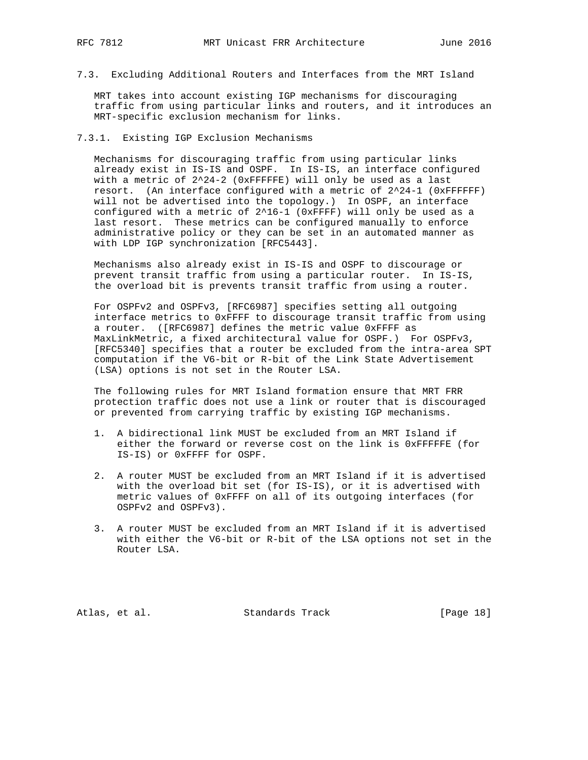7.3. Excluding Additional Routers and Interfaces from the MRT Island

 MRT takes into account existing IGP mechanisms for discouraging traffic from using particular links and routers, and it introduces an MRT-specific exclusion mechanism for links.

## 7.3.1. Existing IGP Exclusion Mechanisms

 Mechanisms for discouraging traffic from using particular links already exist in IS-IS and OSPF. In IS-IS, an interface configured with a metric of 2^24-2 (0xFFFFFE) will only be used as a last resort. (An interface configured with a metric of  $2^24-1$  (0xFFFFFF) will not be advertised into the topology.) In OSPF, an interface configured with a metric of 2^16-1 (0xFFFF) will only be used as a last resort. These metrics can be configured manually to enforce administrative policy or they can be set in an automated manner as with LDP IGP synchronization [RFC5443].

 Mechanisms also already exist in IS-IS and OSPF to discourage or prevent transit traffic from using a particular router. In IS-IS, the overload bit is prevents transit traffic from using a router.

 For OSPFv2 and OSPFv3, [RFC6987] specifies setting all outgoing interface metrics to 0xFFFF to discourage transit traffic from using a router. ([RFC6987] defines the metric value 0xFFFF as MaxLinkMetric, a fixed architectural value for OSPF.) For OSPFv3, [RFC5340] specifies that a router be excluded from the intra-area SPT computation if the V6-bit or R-bit of the Link State Advertisement (LSA) options is not set in the Router LSA.

 The following rules for MRT Island formation ensure that MRT FRR protection traffic does not use a link or router that is discouraged or prevented from carrying traffic by existing IGP mechanisms.

- 1. A bidirectional link MUST be excluded from an MRT Island if either the forward or reverse cost on the link is 0xFFFFFE (for IS-IS) or 0xFFFF for OSPF.
- 2. A router MUST be excluded from an MRT Island if it is advertised with the overload bit set (for IS-IS), or it is advertised with metric values of 0xFFFF on all of its outgoing interfaces (for OSPFv2 and OSPFv3).
- 3. A router MUST be excluded from an MRT Island if it is advertised with either the V6-bit or R-bit of the LSA options not set in the Router LSA.

Atlas, et al. Standards Track [Page 18]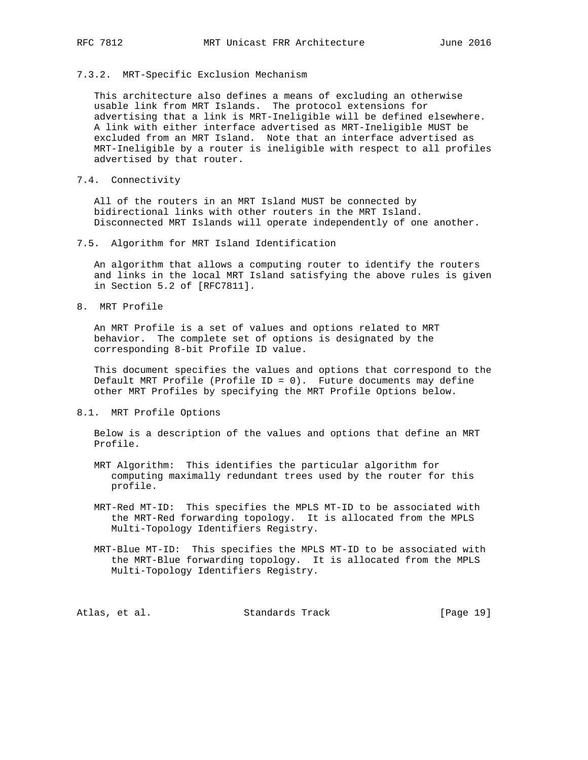### 7.3.2. MRT-Specific Exclusion Mechanism

 This architecture also defines a means of excluding an otherwise usable link from MRT Islands. The protocol extensions for advertising that a link is MRT-Ineligible will be defined elsewhere. A link with either interface advertised as MRT-Ineligible MUST be excluded from an MRT Island. Note that an interface advertised as MRT-Ineligible by a router is ineligible with respect to all profiles advertised by that router.

7.4. Connectivity

 All of the routers in an MRT Island MUST be connected by bidirectional links with other routers in the MRT Island. Disconnected MRT Islands will operate independently of one another.

 An algorithm that allows a computing router to identify the routers and links in the local MRT Island satisfying the above rules is given in Section 5.2 of [RFC7811].

8. MRT Profile

 An MRT Profile is a set of values and options related to MRT behavior. The complete set of options is designated by the corresponding 8-bit Profile ID value.

 This document specifies the values and options that correspond to the Default MRT Profile (Profile ID = 0). Future documents may define other MRT Profiles by specifying the MRT Profile Options below.

8.1. MRT Profile Options

 Below is a description of the values and options that define an MRT Profile.

- MRT Algorithm: This identifies the particular algorithm for computing maximally redundant trees used by the router for this profile.
- MRT-Red MT-ID: This specifies the MPLS MT-ID to be associated with the MRT-Red forwarding topology. It is allocated from the MPLS Multi-Topology Identifiers Registry.
- MRT-Blue MT-ID: This specifies the MPLS MT-ID to be associated with the MRT-Blue forwarding topology. It is allocated from the MPLS Multi-Topology Identifiers Registry.

| Atlas, et al. | Standards Track |  | [Page 19] |  |  |
|---------------|-----------------|--|-----------|--|--|
|---------------|-----------------|--|-----------|--|--|

<sup>7.5.</sup> Algorithm for MRT Island Identification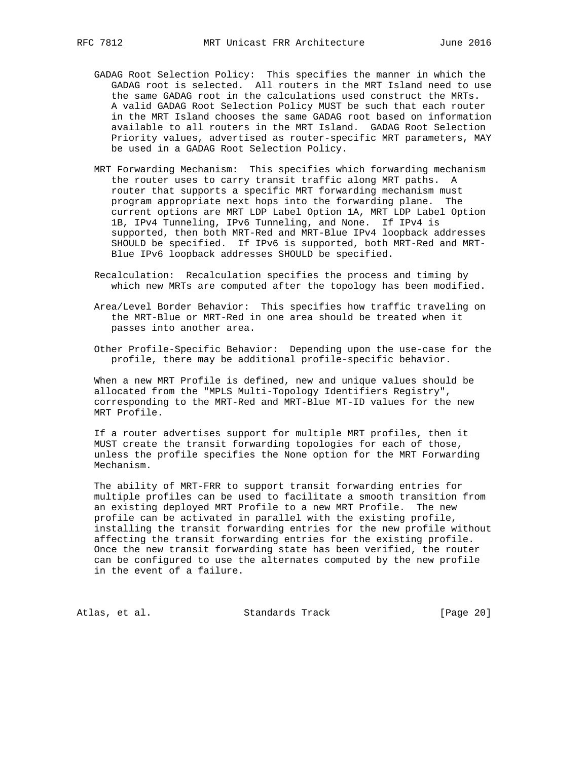- GADAG Root Selection Policy: This specifies the manner in which the GADAG root is selected. All routers in the MRT Island need to use the same GADAG root in the calculations used construct the MRTs. A valid GADAG Root Selection Policy MUST be such that each router in the MRT Island chooses the same GADAG root based on information available to all routers in the MRT Island. GADAG Root Selection Priority values, advertised as router-specific MRT parameters, MAY be used in a GADAG Root Selection Policy.
- MRT Forwarding Mechanism: This specifies which forwarding mechanism the router uses to carry transit traffic along MRT paths. A router that supports a specific MRT forwarding mechanism must program appropriate next hops into the forwarding plane. The current options are MRT LDP Label Option 1A, MRT LDP Label Option 1B, IPv4 Tunneling, IPv6 Tunneling, and None. If IPv4 is supported, then both MRT-Red and MRT-Blue IPv4 loopback addresses SHOULD be specified. If IPv6 is supported, both MRT-Red and MRT- Blue IPv6 loopback addresses SHOULD be specified.
- Recalculation: Recalculation specifies the process and timing by which new MRTs are computed after the topology has been modified.
- Area/Level Border Behavior: This specifies how traffic traveling on the MRT-Blue or MRT-Red in one area should be treated when it passes into another area.
- Other Profile-Specific Behavior: Depending upon the use-case for the profile, there may be additional profile-specific behavior.

 When a new MRT Profile is defined, new and unique values should be allocated from the "MPLS Multi-Topology Identifiers Registry", corresponding to the MRT-Red and MRT-Blue MT-ID values for the new MRT Profile.

 If a router advertises support for multiple MRT profiles, then it MUST create the transit forwarding topologies for each of those, unless the profile specifies the None option for the MRT Forwarding Mechanism.

 The ability of MRT-FRR to support transit forwarding entries for multiple profiles can be used to facilitate a smooth transition from an existing deployed MRT Profile to a new MRT Profile. The new profile can be activated in parallel with the existing profile, installing the transit forwarding entries for the new profile without affecting the transit forwarding entries for the existing profile. Once the new transit forwarding state has been verified, the router can be configured to use the alternates computed by the new profile in the event of a failure.

Atlas, et al. Standards Track [Page 20]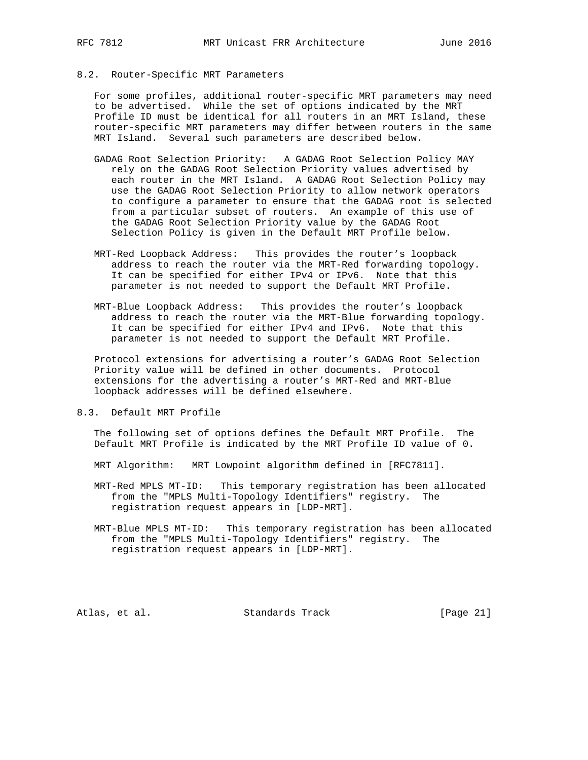## 8.2. Router-Specific MRT Parameters

 For some profiles, additional router-specific MRT parameters may need to be advertised. While the set of options indicated by the MRT Profile ID must be identical for all routers in an MRT Island, these router-specific MRT parameters may differ between routers in the same MRT Island. Several such parameters are described below.

- GADAG Root Selection Priority: A GADAG Root Selection Policy MAY rely on the GADAG Root Selection Priority values advertised by each router in the MRT Island. A GADAG Root Selection Policy may use the GADAG Root Selection Priority to allow network operators to configure a parameter to ensure that the GADAG root is selected from a particular subset of routers. An example of this use of the GADAG Root Selection Priority value by the GADAG Root Selection Policy is given in the Default MRT Profile below.
- MRT-Red Loopback Address: This provides the router's loopback address to reach the router via the MRT-Red forwarding topology. It can be specified for either IPv4 or IPv6. Note that this parameter is not needed to support the Default MRT Profile.
- MRT-Blue Loopback Address: This provides the router's loopback address to reach the router via the MRT-Blue forwarding topology. It can be specified for either IPv4 and IPv6. Note that this parameter is not needed to support the Default MRT Profile.

 Protocol extensions for advertising a router's GADAG Root Selection Priority value will be defined in other documents. Protocol extensions for the advertising a router's MRT-Red and MRT-Blue loopback addresses will be defined elsewhere.

8.3. Default MRT Profile

 The following set of options defines the Default MRT Profile. The Default MRT Profile is indicated by the MRT Profile ID value of 0.

MRT Algorithm: MRT Lowpoint algorithm defined in [RFC7811].

 MRT-Red MPLS MT-ID: This temporary registration has been allocated from the "MPLS Multi-Topology Identifiers" registry. The registration request appears in [LDP-MRT].

 MRT-Blue MPLS MT-ID: This temporary registration has been allocated from the "MPLS Multi-Topology Identifiers" registry. The registration request appears in [LDP-MRT].

Atlas, et al. Standards Track [Page 21]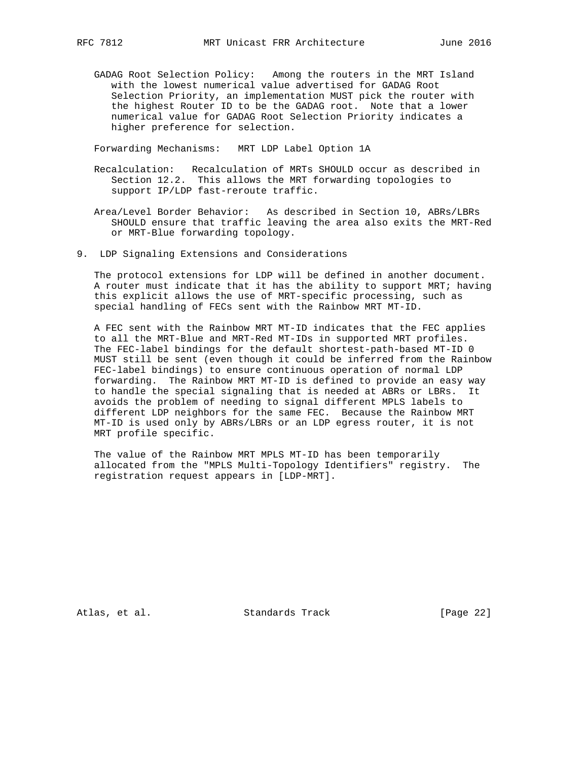GADAG Root Selection Policy: Among the routers in the MRT Island with the lowest numerical value advertised for GADAG Root Selection Priority, an implementation MUST pick the router with the highest Router ID to be the GADAG root. Note that a lower numerical value for GADAG Root Selection Priority indicates a higher preference for selection.

Forwarding Mechanisms: MRT LDP Label Option 1A

- Recalculation: Recalculation of MRTs SHOULD occur as described in Section 12.2. This allows the MRT forwarding topologies to support IP/LDP fast-reroute traffic.
- Area/Level Border Behavior: As described in Section 10, ABRs/LBRs SHOULD ensure that traffic leaving the area also exits the MRT-Red or MRT-Blue forwarding topology.
- 9. LDP Signaling Extensions and Considerations

 The protocol extensions for LDP will be defined in another document. A router must indicate that it has the ability to support MRT; having this explicit allows the use of MRT-specific processing, such as special handling of FECs sent with the Rainbow MRT MT-ID.

 A FEC sent with the Rainbow MRT MT-ID indicates that the FEC applies to all the MRT-Blue and MRT-Red MT-IDs in supported MRT profiles. The FEC-label bindings for the default shortest-path-based MT-ID 0 MUST still be sent (even though it could be inferred from the Rainbow FEC-label bindings) to ensure continuous operation of normal LDP forwarding. The Rainbow MRT MT-ID is defined to provide an easy way to handle the special signaling that is needed at ABRs or LBRs. It avoids the problem of needing to signal different MPLS labels to different LDP neighbors for the same FEC. Because the Rainbow MRT MT-ID is used only by ABRs/LBRs or an LDP egress router, it is not MRT profile specific.

 The value of the Rainbow MRT MPLS MT-ID has been temporarily allocated from the "MPLS Multi-Topology Identifiers" registry. The registration request appears in [LDP-MRT].

Atlas, et al. Standards Track [Page 22]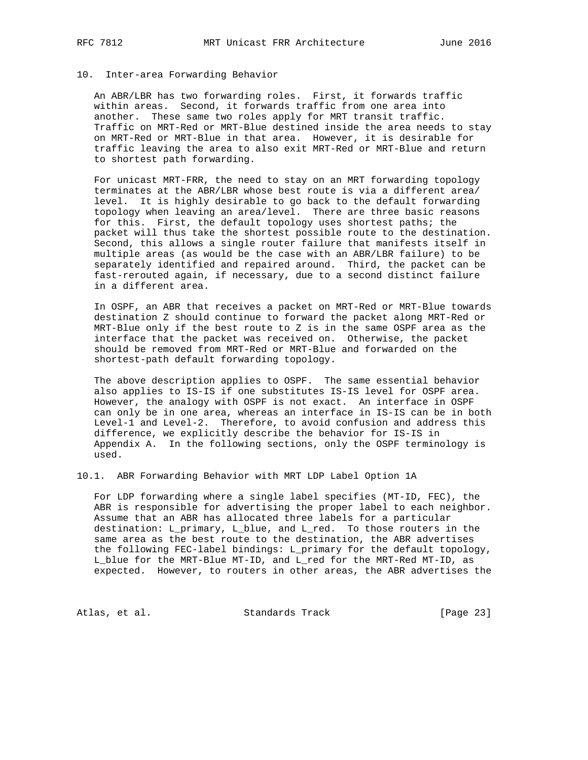### 10. Inter-area Forwarding Behavior

 An ABR/LBR has two forwarding roles. First, it forwards traffic within areas. Second, it forwards traffic from one area into another. These same two roles apply for MRT transit traffic. Traffic on MRT-Red or MRT-Blue destined inside the area needs to stay on MRT-Red or MRT-Blue in that area. However, it is desirable for traffic leaving the area to also exit MRT-Red or MRT-Blue and return to shortest path forwarding.

 For unicast MRT-FRR, the need to stay on an MRT forwarding topology terminates at the ABR/LBR whose best route is via a different area/ level. It is highly desirable to go back to the default forwarding topology when leaving an area/level. There are three basic reasons for this. First, the default topology uses shortest paths; the packet will thus take the shortest possible route to the destination. Second, this allows a single router failure that manifests itself in multiple areas (as would be the case with an ABR/LBR failure) to be separately identified and repaired around. Third, the packet can be fast-rerouted again, if necessary, due to a second distinct failure in a different area.

 In OSPF, an ABR that receives a packet on MRT-Red or MRT-Blue towards destination Z should continue to forward the packet along MRT-Red or MRT-Blue only if the best route to Z is in the same OSPF area as the interface that the packet was received on. Otherwise, the packet should be removed from MRT-Red or MRT-Blue and forwarded on the shortest-path default forwarding topology.

 The above description applies to OSPF. The same essential behavior also applies to IS-IS if one substitutes IS-IS level for OSPF area. However, the analogy with OSPF is not exact. An interface in OSPF can only be in one area, whereas an interface in IS-IS can be in both Level-1 and Level-2. Therefore, to avoid confusion and address this difference, we explicitly describe the behavior for IS-IS in Appendix A. In the following sections, only the OSPF terminology is used.

10.1. ABR Forwarding Behavior with MRT LDP Label Option 1A

 For LDP forwarding where a single label specifies (MT-ID, FEC), the ABR is responsible for advertising the proper label to each neighbor. Assume that an ABR has allocated three labels for a particular destination: L\_primary, L\_blue, and L\_red. To those routers in the same area as the best route to the destination, the ABR advertises the following FEC-label bindings: L\_primary for the default topology, L\_blue for the MRT-Blue MT-ID, and L\_red for the MRT-Red MT-ID, as expected. However, to routers in other areas, the ABR advertises the

Atlas, et al. Standards Track [Page 23]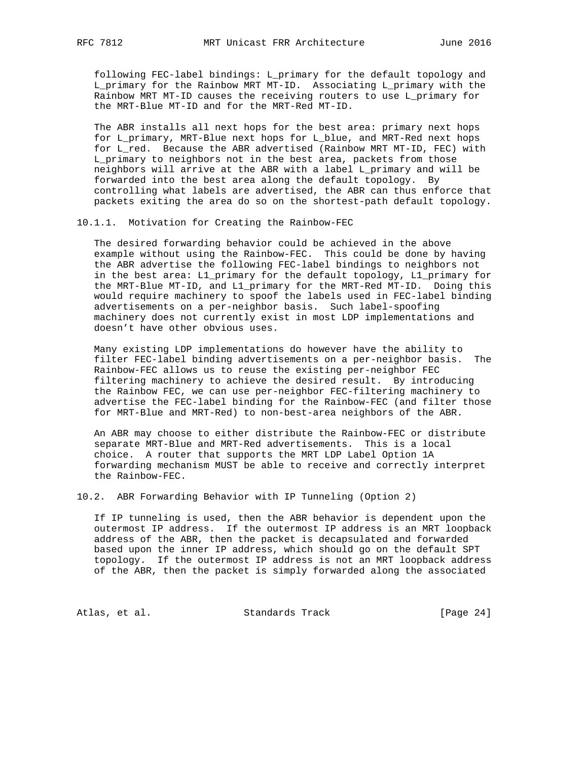following FEC-label bindings: L\_primary for the default topology and L\_primary for the Rainbow MRT MT-ID. Associating L\_primary with the Rainbow MRT MT-ID causes the receiving routers to use L\_primary for the MRT-Blue MT-ID and for the MRT-Red MT-ID.

 The ABR installs all next hops for the best area: primary next hops for L\_primary, MRT-Blue next hops for L\_blue, and MRT-Red next hops for L\_red. Because the ABR advertised (Rainbow MRT MT-ID, FEC) with L\_primary to neighbors not in the best area, packets from those neighbors will arrive at the ABR with a label L\_primary and will be forwarded into the best area along the default topology. By controlling what labels are advertised, the ABR can thus enforce that packets exiting the area do so on the shortest-path default topology.

10.1.1. Motivation for Creating the Rainbow-FEC

 The desired forwarding behavior could be achieved in the above example without using the Rainbow-FEC. This could be done by having the ABR advertise the following FEC-label bindings to neighbors not in the best area: L1\_primary for the default topology, L1\_primary for the MRT-Blue MT-ID, and L1\_primary for the MRT-Red MT-ID. Doing this would require machinery to spoof the labels used in FEC-label binding advertisements on a per-neighbor basis. Such label-spoofing machinery does not currently exist in most LDP implementations and doesn't have other obvious uses.

 Many existing LDP implementations do however have the ability to filter FEC-label binding advertisements on a per-neighbor basis. The Rainbow-FEC allows us to reuse the existing per-neighbor FEC filtering machinery to achieve the desired result. By introducing the Rainbow FEC, we can use per-neighbor FEC-filtering machinery to advertise the FEC-label binding for the Rainbow-FEC (and filter those for MRT-Blue and MRT-Red) to non-best-area neighbors of the ABR.

 An ABR may choose to either distribute the Rainbow-FEC or distribute separate MRT-Blue and MRT-Red advertisements. This is a local choice. A router that supports the MRT LDP Label Option 1A forwarding mechanism MUST be able to receive and correctly interpret the Rainbow-FEC.

10.2. ABR Forwarding Behavior with IP Tunneling (Option 2)

 If IP tunneling is used, then the ABR behavior is dependent upon the outermost IP address. If the outermost IP address is an MRT loopback address of the ABR, then the packet is decapsulated and forwarded based upon the inner IP address, which should go on the default SPT topology. If the outermost IP address is not an MRT loopback address of the ABR, then the packet is simply forwarded along the associated

Atlas, et al. Standards Track [Page 24]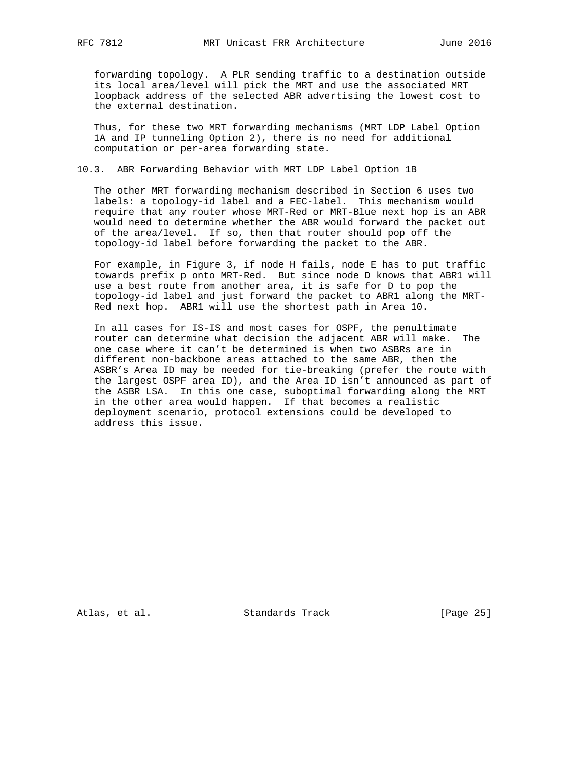forwarding topology. A PLR sending traffic to a destination outside its local area/level will pick the MRT and use the associated MRT loopback address of the selected ABR advertising the lowest cost to the external destination.

 Thus, for these two MRT forwarding mechanisms (MRT LDP Label Option 1A and IP tunneling Option 2), there is no need for additional computation or per-area forwarding state.

# 10.3. ABR Forwarding Behavior with MRT LDP Label Option 1B

 The other MRT forwarding mechanism described in Section 6 uses two labels: a topology-id label and a FEC-label. This mechanism would require that any router whose MRT-Red or MRT-Blue next hop is an ABR would need to determine whether the ABR would forward the packet out of the area/level. If so, then that router should pop off the topology-id label before forwarding the packet to the ABR.

For example, in Figure 3, if node H fails, node E has to put traffic towards prefix p onto MRT-Red. But since node D knows that ABR1 will use a best route from another area, it is safe for D to pop the topology-id label and just forward the packet to ABR1 along the MRT- Red next hop. ABR1 will use the shortest path in Area 10.

 In all cases for IS-IS and most cases for OSPF, the penultimate router can determine what decision the adjacent ABR will make. The one case where it can't be determined is when two ASBRs are in different non-backbone areas attached to the same ABR, then the ASBR's Area ID may be needed for tie-breaking (prefer the route with the largest OSPF area ID), and the Area ID isn't announced as part of the ASBR LSA. In this one case, suboptimal forwarding along the MRT in the other area would happen. If that becomes a realistic deployment scenario, protocol extensions could be developed to address this issue.

Atlas, et al. Standards Track [Page 25]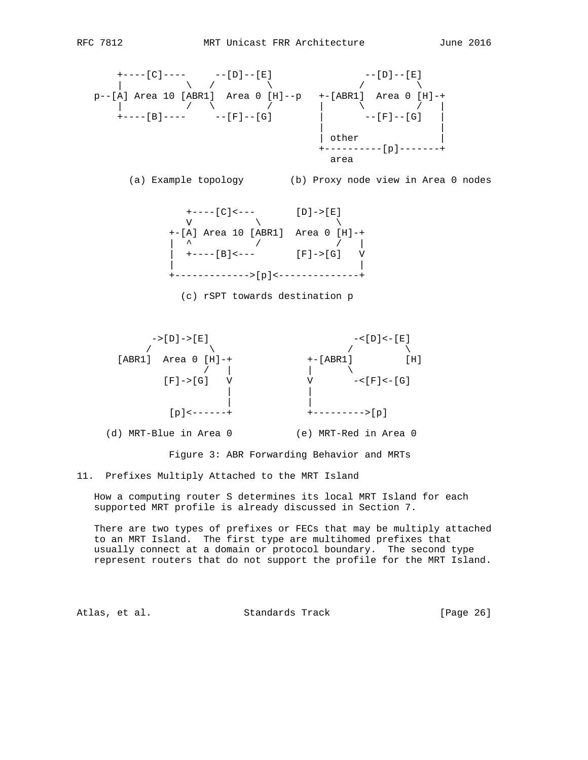



(d) MRT-Blue in Area 0 (e) MRT-Red in Area 0

Figure 3: ABR Forwarding Behavior and MRTs

11. Prefixes Multiply Attached to the MRT Island

 How a computing router S determines its local MRT Island for each supported MRT profile is already discussed in Section 7.

 There are two types of prefixes or FECs that may be multiply attached to an MRT Island. The first type are multihomed prefixes that usually connect at a domain or protocol boundary. The second type represent routers that do not support the profile for the MRT Island.

Atlas, et al. Standards Track [Page 26]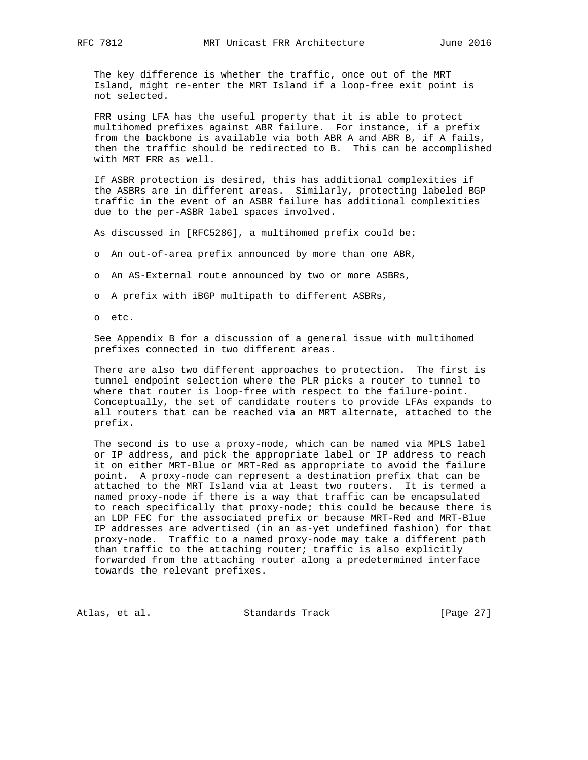The key difference is whether the traffic, once out of the MRT Island, might re-enter the MRT Island if a loop-free exit point is not selected.

 FRR using LFA has the useful property that it is able to protect multihomed prefixes against ABR failure. For instance, if a prefix from the backbone is available via both ABR A and ABR B, if A fails, then the traffic should be redirected to B. This can be accomplished with MRT FRR as well.

 If ASBR protection is desired, this has additional complexities if the ASBRs are in different areas. Similarly, protecting labeled BGP traffic in the event of an ASBR failure has additional complexities due to the per-ASBR label spaces involved.

As discussed in [RFC5286], a multihomed prefix could be:

- o An out-of-area prefix announced by more than one ABR,
- o An AS-External route announced by two or more ASBRs,

o A prefix with iBGP multipath to different ASBRs,

o etc.

 See Appendix B for a discussion of a general issue with multihomed prefixes connected in two different areas.

 There are also two different approaches to protection. The first is tunnel endpoint selection where the PLR picks a router to tunnel to where that router is loop-free with respect to the failure-point. Conceptually, the set of candidate routers to provide LFAs expands to all routers that can be reached via an MRT alternate, attached to the prefix.

 The second is to use a proxy-node, which can be named via MPLS label or IP address, and pick the appropriate label or IP address to reach it on either MRT-Blue or MRT-Red as appropriate to avoid the failure point. A proxy-node can represent a destination prefix that can be attached to the MRT Island via at least two routers. It is termed a named proxy-node if there is a way that traffic can be encapsulated to reach specifically that proxy-node; this could be because there is an LDP FEC for the associated prefix or because MRT-Red and MRT-Blue IP addresses are advertised (in an as-yet undefined fashion) for that proxy-node. Traffic to a named proxy-node may take a different path than traffic to the attaching router; traffic is also explicitly forwarded from the attaching router along a predetermined interface towards the relevant prefixes.

Atlas, et al. Standards Track [Page 27]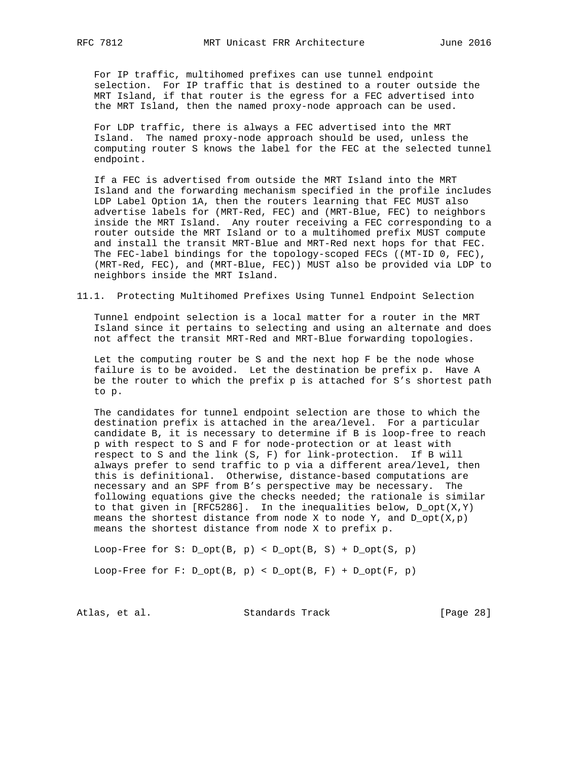For IP traffic, multihomed prefixes can use tunnel endpoint selection. For IP traffic that is destined to a router outside the MRT Island, if that router is the egress for a FEC advertised into the MRT Island, then the named proxy-node approach can be used.

 For LDP traffic, there is always a FEC advertised into the MRT Island. The named proxy-node approach should be used, unless the computing router S knows the label for the FEC at the selected tunnel endpoint.

 If a FEC is advertised from outside the MRT Island into the MRT Island and the forwarding mechanism specified in the profile includes LDP Label Option 1A, then the routers learning that FEC MUST also advertise labels for (MRT-Red, FEC) and (MRT-Blue, FEC) to neighbors inside the MRT Island. Any router receiving a FEC corresponding to a router outside the MRT Island or to a multihomed prefix MUST compute and install the transit MRT-Blue and MRT-Red next hops for that FEC. The FEC-label bindings for the topology-scoped FECs ((MT-ID 0, FEC), (MRT-Red, FEC), and (MRT-Blue, FEC)) MUST also be provided via LDP to neighbors inside the MRT Island.

11.1. Protecting Multihomed Prefixes Using Tunnel Endpoint Selection

 Tunnel endpoint selection is a local matter for a router in the MRT Island since it pertains to selecting and using an alternate and does not affect the transit MRT-Red and MRT-Blue forwarding topologies.

 Let the computing router be S and the next hop F be the node whose failure is to be avoided. Let the destination be prefix p. Have A be the router to which the prefix p is attached for S's shortest path to p.

 The candidates for tunnel endpoint selection are those to which the destination prefix is attached in the area/level. For a particular candidate B, it is necessary to determine if B is loop-free to reach p with respect to S and F for node-protection or at least with respect to S and the link (S, F) for link-protection. If B will always prefer to send traffic to p via a different area/level, then this is definitional. Otherwise, distance-based computations are necessary and an SPF from B's perspective may be necessary. The following equations give the checks needed; the rationale is similar to that given in [RFC5286]. In the inequalities below,  $D_{opt}(X,Y)$ means the shortest distance from node X to node Y, and  $D_{opt}(X,p)$ means the shortest distance from node X to prefix p.

Loop-Free for  $S: D_{opt}(B, p) < D_{opt}(B, S) + D_{opt}(S, p)$ Loop-Free for  $F: D_{opt}(B, p) < D_{opt}(B, F) + D_{opt}(F, p)$ 

Atlas, et al. Standards Track [Page 28]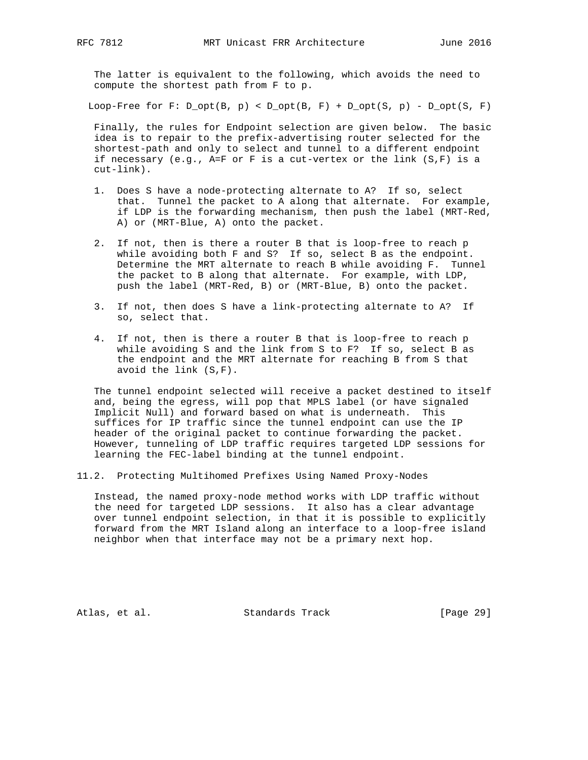The latter is equivalent to the following, which avoids the need to compute the shortest path from F to p.

Loop-Free for F:  $D_{opt}(B, p) < D_{opt}(B, F) + D_{opt}(S, p) - D_{opt}(S, F)$ 

 Finally, the rules for Endpoint selection are given below. The basic idea is to repair to the prefix-advertising router selected for the shortest-path and only to select and tunnel to a different endpoint if necessary (e.g., A=F or F is a cut-vertex or the link (S,F) is a cut-link).

- 1. Does S have a node-protecting alternate to A? If so, select that. Tunnel the packet to A along that alternate. For example, if LDP is the forwarding mechanism, then push the label (MRT-Red, A) or (MRT-Blue, A) onto the packet.
- 2. If not, then is there a router B that is loop-free to reach p while avoiding both F and S? If so, select B as the endpoint. Determine the MRT alternate to reach B while avoiding F. Tunnel the packet to B along that alternate. For example, with LDP, push the label (MRT-Red, B) or (MRT-Blue, B) onto the packet.
- 3. If not, then does S have a link-protecting alternate to A? If so, select that.
- 4. If not, then is there a router B that is loop-free to reach p while avoiding S and the link from S to F? If so, select B as the endpoint and the MRT alternate for reaching B from S that avoid the link (S,F).

 The tunnel endpoint selected will receive a packet destined to itself and, being the egress, will pop that MPLS label (or have signaled Implicit Null) and forward based on what is underneath. This suffices for IP traffic since the tunnel endpoint can use the IP header of the original packet to continue forwarding the packet. However, tunneling of LDP traffic requires targeted LDP sessions for learning the FEC-label binding at the tunnel endpoint.

11.2. Protecting Multihomed Prefixes Using Named Proxy-Nodes

 Instead, the named proxy-node method works with LDP traffic without the need for targeted LDP sessions. It also has a clear advantage over tunnel endpoint selection, in that it is possible to explicitly forward from the MRT Island along an interface to a loop-free island neighbor when that interface may not be a primary next hop.

Atlas, et al. Standards Track [Page 29]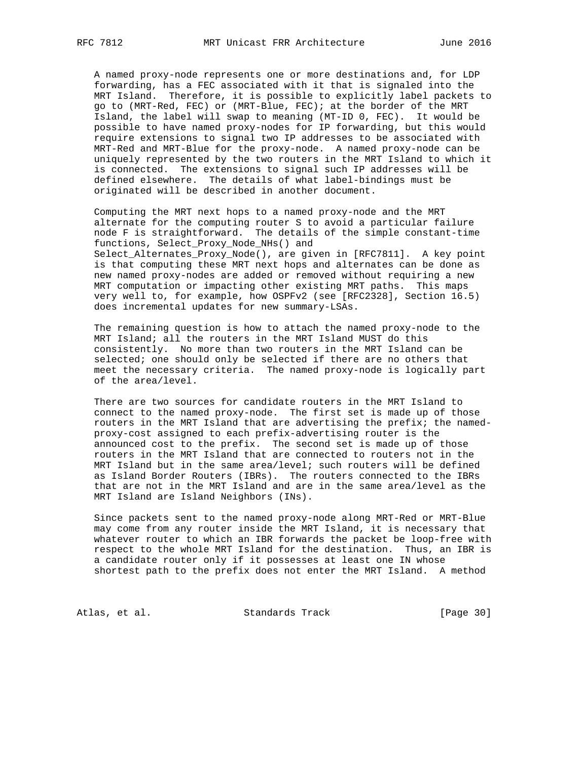A named proxy-node represents one or more destinations and, for LDP forwarding, has a FEC associated with it that is signaled into the MRT Island. Therefore, it is possible to explicitly label packets to go to (MRT-Red, FEC) or (MRT-Blue, FEC); at the border of the MRT Island, the label will swap to meaning (MT-ID 0, FEC). It would be possible to have named proxy-nodes for IP forwarding, but this would require extensions to signal two IP addresses to be associated with MRT-Red and MRT-Blue for the proxy-node. A named proxy-node can be uniquely represented by the two routers in the MRT Island to which it is connected. The extensions to signal such IP addresses will be defined elsewhere. The details of what label-bindings must be originated will be described in another document.

 Computing the MRT next hops to a named proxy-node and the MRT alternate for the computing router S to avoid a particular failure node F is straightforward. The details of the simple constant-time functions, Select\_Proxy\_Node\_NHs() and Select\_Alternates\_Proxy\_Node(), are given in [RFC7811]. A key point is that computing these MRT next hops and alternates can be done as new named proxy-nodes are added or removed without requiring a new MRT computation or impacting other existing MRT paths. This maps very well to, for example, how OSPFv2 (see [RFC2328], Section 16.5) does incremental updates for new summary-LSAs.

 The remaining question is how to attach the named proxy-node to the MRT Island; all the routers in the MRT Island MUST do this consistently. No more than two routers in the MRT Island can be selected; one should only be selected if there are no others that meet the necessary criteria. The named proxy-node is logically part of the area/level.

 There are two sources for candidate routers in the MRT Island to connect to the named proxy-node. The first set is made up of those routers in the MRT Island that are advertising the prefix; the named proxy-cost assigned to each prefix-advertising router is the announced cost to the prefix. The second set is made up of those routers in the MRT Island that are connected to routers not in the MRT Island but in the same area/level; such routers will be defined as Island Border Routers (IBRs). The routers connected to the IBRs that are not in the MRT Island and are in the same area/level as the MRT Island are Island Neighbors (INs).

 Since packets sent to the named proxy-node along MRT-Red or MRT-Blue may come from any router inside the MRT Island, it is necessary that whatever router to which an IBR forwards the packet be loop-free with respect to the whole MRT Island for the destination. Thus, an IBR is a candidate router only if it possesses at least one IN whose shortest path to the prefix does not enter the MRT Island. A method

Atlas, et al. Standards Track [Page 30]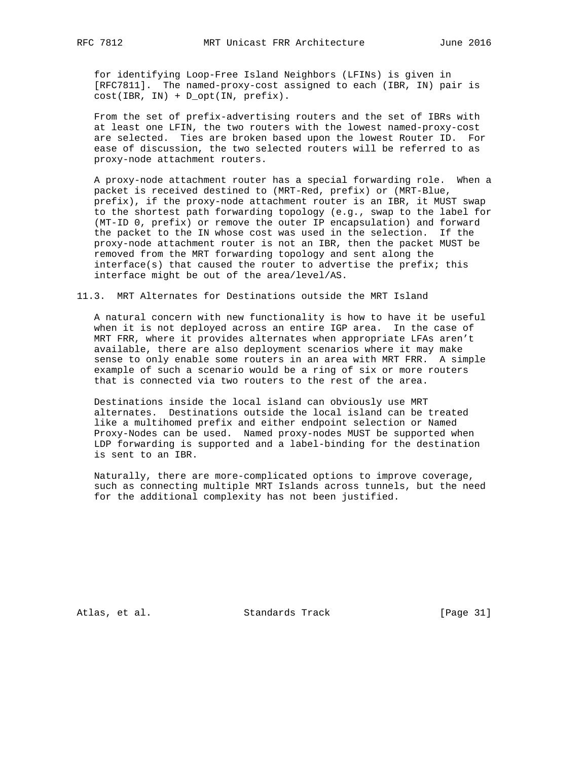for identifying Loop-Free Island Neighbors (LFINs) is given in [RFC7811]. The named-proxy-cost assigned to each (IBR, IN) pair is cost(IBR, IN) + D\_opt(IN, prefix).

 From the set of prefix-advertising routers and the set of IBRs with at least one LFIN, the two routers with the lowest named-proxy-cost are selected. Ties are broken based upon the lowest Router ID. For ease of discussion, the two selected routers will be referred to as proxy-node attachment routers.

 A proxy-node attachment router has a special forwarding role. When a packet is received destined to (MRT-Red, prefix) or (MRT-Blue, prefix), if the proxy-node attachment router is an IBR, it MUST swap to the shortest path forwarding topology (e.g., swap to the label for (MT-ID 0, prefix) or remove the outer IP encapsulation) and forward the packet to the IN whose cost was used in the selection. If the proxy-node attachment router is not an IBR, then the packet MUST be removed from the MRT forwarding topology and sent along the interface(s) that caused the router to advertise the prefix; this interface might be out of the area/level/AS.

11.3. MRT Alternates for Destinations outside the MRT Island

 A natural concern with new functionality is how to have it be useful when it is not deployed across an entire IGP area. In the case of MRT FRR, where it provides alternates when appropriate LFAs aren't available, there are also deployment scenarios where it may make sense to only enable some routers in an area with MRT FRR. A simple example of such a scenario would be a ring of six or more routers that is connected via two routers to the rest of the area.

 Destinations inside the local island can obviously use MRT alternates. Destinations outside the local island can be treated like a multihomed prefix and either endpoint selection or Named Proxy-Nodes can be used. Named proxy-nodes MUST be supported when LDP forwarding is supported and a label-binding for the destination is sent to an IBR.

 Naturally, there are more-complicated options to improve coverage, such as connecting multiple MRT Islands across tunnels, but the need for the additional complexity has not been justified.

Atlas, et al. Standards Track [Page 31]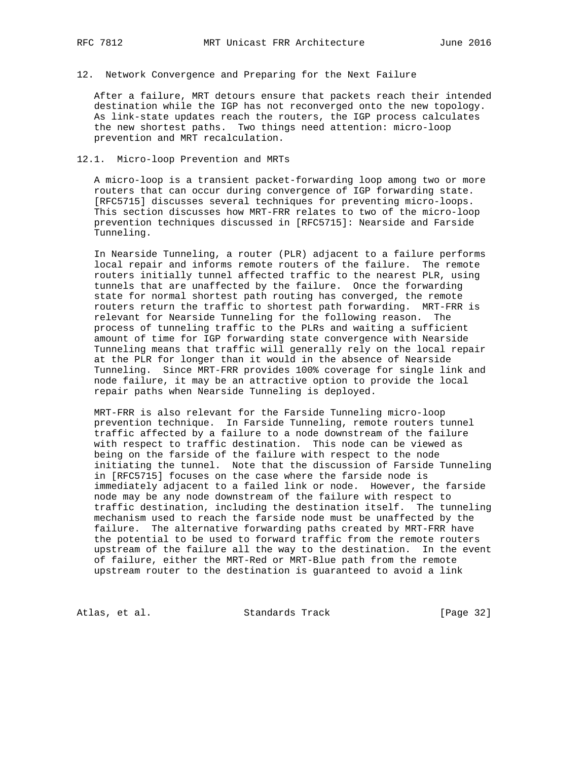### 12. Network Convergence and Preparing for the Next Failure

 After a failure, MRT detours ensure that packets reach their intended destination while the IGP has not reconverged onto the new topology. As link-state updates reach the routers, the IGP process calculates the new shortest paths. Two things need attention: micro-loop prevention and MRT recalculation.

#### 12.1. Micro-loop Prevention and MRTs

 A micro-loop is a transient packet-forwarding loop among two or more routers that can occur during convergence of IGP forwarding state. [RFC5715] discusses several techniques for preventing micro-loops. This section discusses how MRT-FRR relates to two of the micro-loop prevention techniques discussed in [RFC5715]: Nearside and Farside Tunneling.

 In Nearside Tunneling, a router (PLR) adjacent to a failure performs local repair and informs remote routers of the failure. The remote routers initially tunnel affected traffic to the nearest PLR, using tunnels that are unaffected by the failure. Once the forwarding state for normal shortest path routing has converged, the remote routers return the traffic to shortest path forwarding. MRT-FRR is relevant for Nearside Tunneling for the following reason. The process of tunneling traffic to the PLRs and waiting a sufficient amount of time for IGP forwarding state convergence with Nearside Tunneling means that traffic will generally rely on the local repair at the PLR for longer than it would in the absence of Nearside Tunneling. Since MRT-FRR provides 100% coverage for single link and node failure, it may be an attractive option to provide the local repair paths when Nearside Tunneling is deployed.

 MRT-FRR is also relevant for the Farside Tunneling micro-loop prevention technique. In Farside Tunneling, remote routers tunnel traffic affected by a failure to a node downstream of the failure with respect to traffic destination. This node can be viewed as being on the farside of the failure with respect to the node initiating the tunnel. Note that the discussion of Farside Tunneling in [RFC5715] focuses on the case where the farside node is immediately adjacent to a failed link or node. However, the farside node may be any node downstream of the failure with respect to traffic destination, including the destination itself. The tunneling mechanism used to reach the farside node must be unaffected by the failure. The alternative forwarding paths created by MRT-FRR have the potential to be used to forward traffic from the remote routers upstream of the failure all the way to the destination. In the event of failure, either the MRT-Red or MRT-Blue path from the remote upstream router to the destination is guaranteed to avoid a link

Atlas, et al. Standards Track [Page 32]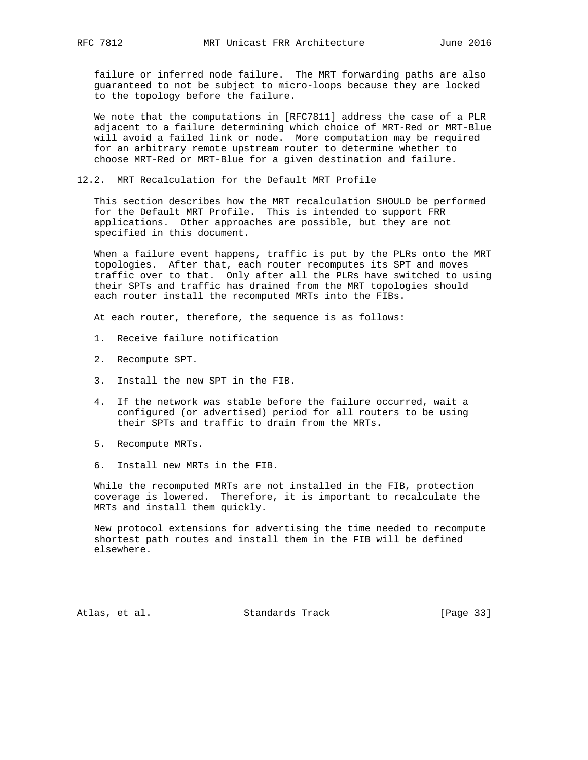failure or inferred node failure. The MRT forwarding paths are also guaranteed to not be subject to micro-loops because they are locked to the topology before the failure.

 We note that the computations in [RFC7811] address the case of a PLR adjacent to a failure determining which choice of MRT-Red or MRT-Blue will avoid a failed link or node. More computation may be required for an arbitrary remote upstream router to determine whether to choose MRT-Red or MRT-Blue for a given destination and failure.

12.2. MRT Recalculation for the Default MRT Profile

 This section describes how the MRT recalculation SHOULD be performed for the Default MRT Profile. This is intended to support FRR applications. Other approaches are possible, but they are not specified in this document.

 When a failure event happens, traffic is put by the PLRs onto the MRT topologies. After that, each router recomputes its SPT and moves traffic over to that. Only after all the PLRs have switched to using their SPTs and traffic has drained from the MRT topologies should each router install the recomputed MRTs into the FIBs.

At each router, therefore, the sequence is as follows:

- 1. Receive failure notification
- 2. Recompute SPT.
- 3. Install the new SPT in the FIB.
- 4. If the network was stable before the failure occurred, wait a configured (or advertised) period for all routers to be using their SPTs and traffic to drain from the MRTs.
- 5. Recompute MRTs.
- 6. Install new MRTs in the FIB.

 While the recomputed MRTs are not installed in the FIB, protection coverage is lowered. Therefore, it is important to recalculate the MRTs and install them quickly.

 New protocol extensions for advertising the time needed to recompute shortest path routes and install them in the FIB will be defined elsewhere.

Atlas, et al. Standards Track [Page 33]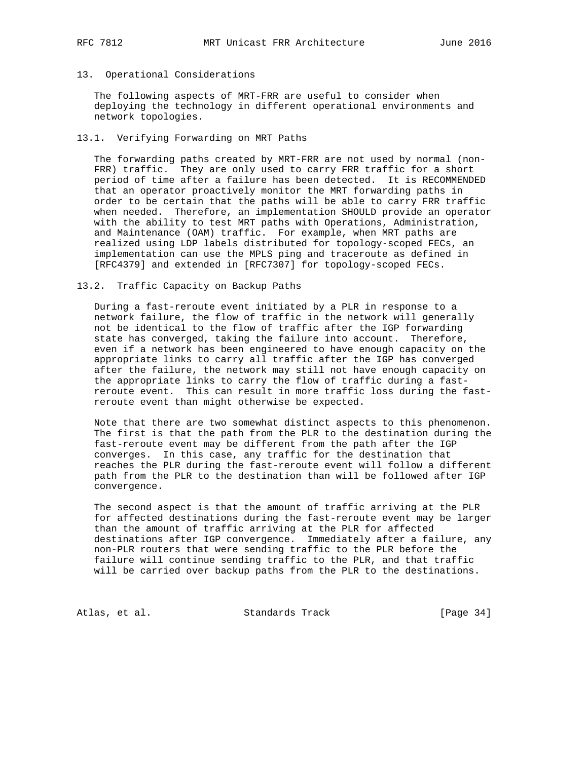# 13. Operational Considerations

 The following aspects of MRT-FRR are useful to consider when deploying the technology in different operational environments and network topologies.

# 13.1. Verifying Forwarding on MRT Paths

 The forwarding paths created by MRT-FRR are not used by normal (non- FRR) traffic. They are only used to carry FRR traffic for a short period of time after a failure has been detected. It is RECOMMENDED that an operator proactively monitor the MRT forwarding paths in order to be certain that the paths will be able to carry FRR traffic when needed. Therefore, an implementation SHOULD provide an operator with the ability to test MRT paths with Operations, Administration, and Maintenance (OAM) traffic. For example, when MRT paths are realized using LDP labels distributed for topology-scoped FECs, an implementation can use the MPLS ping and traceroute as defined in [RFC4379] and extended in [RFC7307] for topology-scoped FECs.

#### 13.2. Traffic Capacity on Backup Paths

 During a fast-reroute event initiated by a PLR in response to a network failure, the flow of traffic in the network will generally not be identical to the flow of traffic after the IGP forwarding state has converged, taking the failure into account. Therefore, even if a network has been engineered to have enough capacity on the appropriate links to carry all traffic after the IGP has converged after the failure, the network may still not have enough capacity on the appropriate links to carry the flow of traffic during a fast reroute event. This can result in more traffic loss during the fast reroute event than might otherwise be expected.

 Note that there are two somewhat distinct aspects to this phenomenon. The first is that the path from the PLR to the destination during the fast-reroute event may be different from the path after the IGP converges. In this case, any traffic for the destination that reaches the PLR during the fast-reroute event will follow a different path from the PLR to the destination than will be followed after IGP convergence.

 The second aspect is that the amount of traffic arriving at the PLR for affected destinations during the fast-reroute event may be larger than the amount of traffic arriving at the PLR for affected destinations after IGP convergence. Immediately after a failure, any non-PLR routers that were sending traffic to the PLR before the failure will continue sending traffic to the PLR, and that traffic will be carried over backup paths from the PLR to the destinations.

Atlas, et al. Standards Track [Page 34]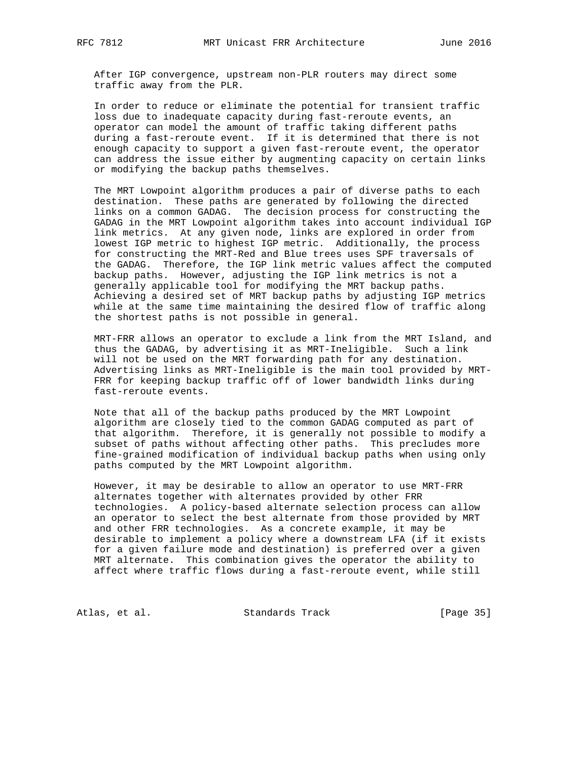After IGP convergence, upstream non-PLR routers may direct some traffic away from the PLR.

 In order to reduce or eliminate the potential for transient traffic loss due to inadequate capacity during fast-reroute events, an operator can model the amount of traffic taking different paths during a fast-reroute event. If it is determined that there is not enough capacity to support a given fast-reroute event, the operator can address the issue either by augmenting capacity on certain links or modifying the backup paths themselves.

 The MRT Lowpoint algorithm produces a pair of diverse paths to each destination. These paths are generated by following the directed links on a common GADAG. The decision process for constructing the GADAG in the MRT Lowpoint algorithm takes into account individual IGP link metrics. At any given node, links are explored in order from lowest IGP metric to highest IGP metric. Additionally, the process for constructing the MRT-Red and Blue trees uses SPF traversals of the GADAG. Therefore, the IGP link metric values affect the computed backup paths. However, adjusting the IGP link metrics is not a generally applicable tool for modifying the MRT backup paths. Achieving a desired set of MRT backup paths by adjusting IGP metrics while at the same time maintaining the desired flow of traffic along the shortest paths is not possible in general.

 MRT-FRR allows an operator to exclude a link from the MRT Island, and thus the GADAG, by advertising it as MRT-Ineligible. Such a link will not be used on the MRT forwarding path for any destination. Advertising links as MRT-Ineligible is the main tool provided by MRT- FRR for keeping backup traffic off of lower bandwidth links during fast-reroute events.

 Note that all of the backup paths produced by the MRT Lowpoint algorithm are closely tied to the common GADAG computed as part of that algorithm. Therefore, it is generally not possible to modify a subset of paths without affecting other paths. This precludes more fine-grained modification of individual backup paths when using only paths computed by the MRT Lowpoint algorithm.

 However, it may be desirable to allow an operator to use MRT-FRR alternates together with alternates provided by other FRR technologies. A policy-based alternate selection process can allow an operator to select the best alternate from those provided by MRT and other FRR technologies. As a concrete example, it may be desirable to implement a policy where a downstream LFA (if it exists for a given failure mode and destination) is preferred over a given MRT alternate. This combination gives the operator the ability to affect where traffic flows during a fast-reroute event, while still

Atlas, et al. Standards Track [Page 35]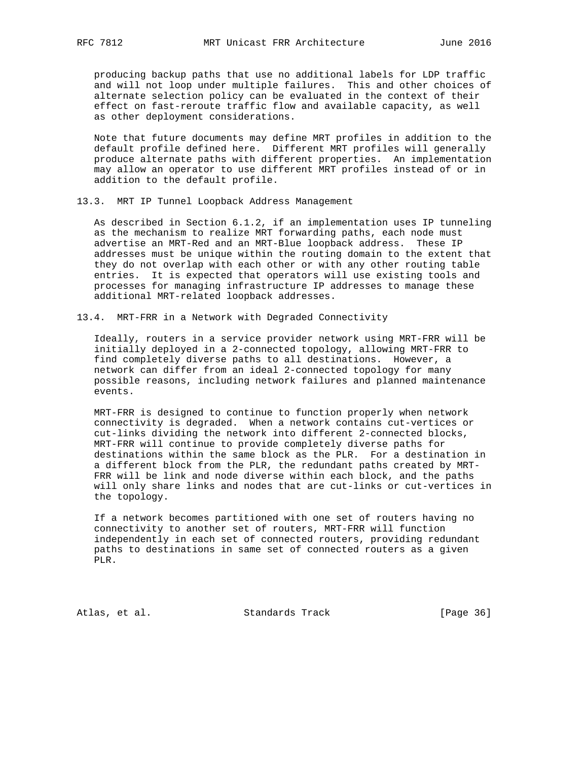producing backup paths that use no additional labels for LDP traffic and will not loop under multiple failures. This and other choices of alternate selection policy can be evaluated in the context of their effect on fast-reroute traffic flow and available capacity, as well as other deployment considerations.

 Note that future documents may define MRT profiles in addition to the default profile defined here. Different MRT profiles will generally produce alternate paths with different properties. An implementation may allow an operator to use different MRT profiles instead of or in addition to the default profile.

13.3. MRT IP Tunnel Loopback Address Management

 As described in Section 6.1.2, if an implementation uses IP tunneling as the mechanism to realize MRT forwarding paths, each node must advertise an MRT-Red and an MRT-Blue loopback address. These IP addresses must be unique within the routing domain to the extent that they do not overlap with each other or with any other routing table entries. It is expected that operators will use existing tools and processes for managing infrastructure IP addresses to manage these additional MRT-related loopback addresses.

13.4. MRT-FRR in a Network with Degraded Connectivity

 Ideally, routers in a service provider network using MRT-FRR will be initially deployed in a 2-connected topology, allowing MRT-FRR to find completely diverse paths to all destinations. However, a network can differ from an ideal 2-connected topology for many possible reasons, including network failures and planned maintenance events.

 MRT-FRR is designed to continue to function properly when network connectivity is degraded. When a network contains cut-vertices or cut-links dividing the network into different 2-connected blocks, MRT-FRR will continue to provide completely diverse paths for destinations within the same block as the PLR. For a destination in a different block from the PLR, the redundant paths created by MRT- FRR will be link and node diverse within each block, and the paths will only share links and nodes that are cut-links or cut-vertices in the topology.

 If a network becomes partitioned with one set of routers having no connectivity to another set of routers, MRT-FRR will function independently in each set of connected routers, providing redundant paths to destinations in same set of connected routers as a given PLR.

Atlas, et al. Standards Track [Page 36]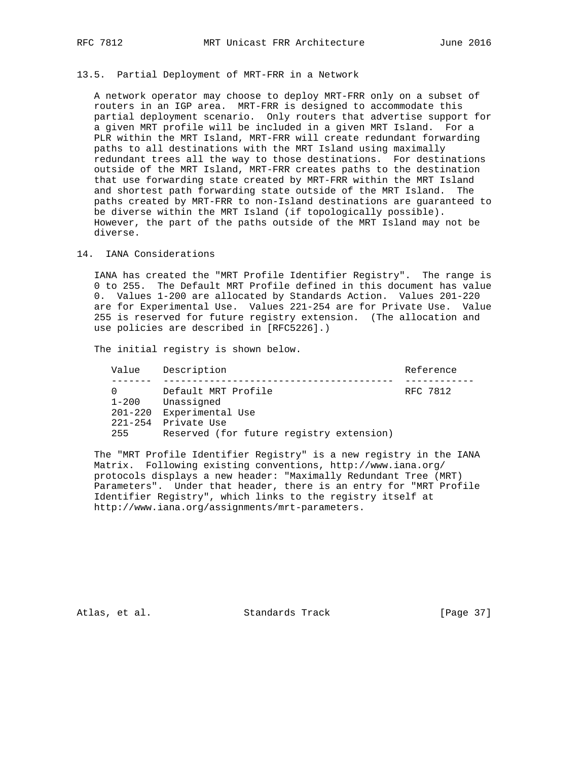#### 13.5. Partial Deployment of MRT-FRR in a Network

 A network operator may choose to deploy MRT-FRR only on a subset of routers in an IGP area. MRT-FRR is designed to accommodate this partial deployment scenario. Only routers that advertise support for a given MRT profile will be included in a given MRT Island. For a PLR within the MRT Island, MRT-FRR will create redundant forwarding paths to all destinations with the MRT Island using maximally redundant trees all the way to those destinations. For destinations outside of the MRT Island, MRT-FRR creates paths to the destination that use forwarding state created by MRT-FRR within the MRT Island and shortest path forwarding state outside of the MRT Island. The paths created by MRT-FRR to non-Island destinations are guaranteed to be diverse within the MRT Island (if topologically possible). However, the part of the paths outside of the MRT Island may not be diverse.

#### 14. IANA Considerations

 IANA has created the "MRT Profile Identifier Registry". The range is 0 to 255. The Default MRT Profile defined in this document has value 0. Values 1-200 are allocated by Standards Action. Values 201-220 are for Experimental Use. Values 221-254 are for Private Use. Value 255 is reserved for future registry extension. (The allocation and use policies are described in [RFC5226].)

The initial registry is shown below.

| Value     | Description                                                     | Reference |
|-----------|-----------------------------------------------------------------|-----------|
| $1 - 200$ | Default MRT Profile<br>Unassigned                               | RFC 7812  |
|           | 201-220 Experimental Use                                        |           |
| 255       | 221-254 Private Use<br>Reserved (for future registry extension) |           |

 The "MRT Profile Identifier Registry" is a new registry in the IANA Matrix. Following existing conventions, http://www.iana.org/ protocols displays a new header: "Maximally Redundant Tree (MRT) Parameters". Under that header, there is an entry for "MRT Profile Identifier Registry", which links to the registry itself at http://www.iana.org/assignments/mrt-parameters.

Atlas, et al. Standards Track [Page 37]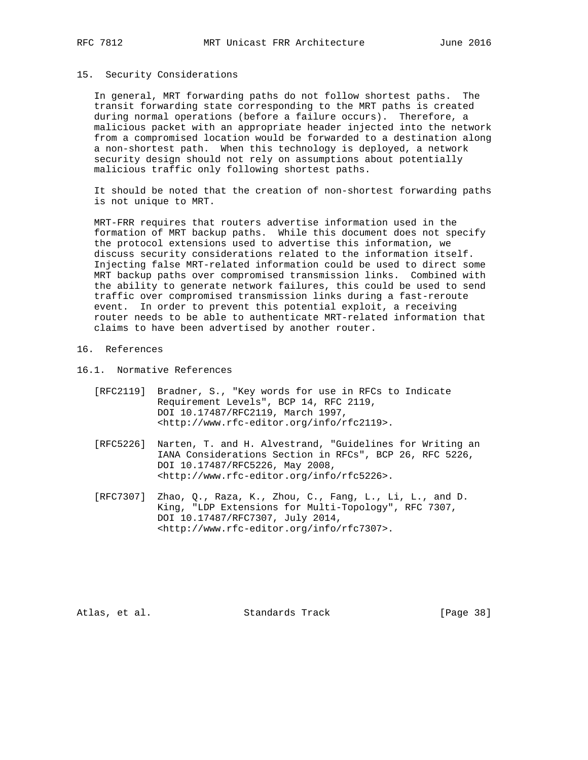#### 15. Security Considerations

 In general, MRT forwarding paths do not follow shortest paths. The transit forwarding state corresponding to the MRT paths is created during normal operations (before a failure occurs). Therefore, a malicious packet with an appropriate header injected into the network from a compromised location would be forwarded to a destination along a non-shortest path. When this technology is deployed, a network security design should not rely on assumptions about potentially malicious traffic only following shortest paths.

 It should be noted that the creation of non-shortest forwarding paths is not unique to MRT.

 MRT-FRR requires that routers advertise information used in the formation of MRT backup paths. While this document does not specify the protocol extensions used to advertise this information, we discuss security considerations related to the information itself. Injecting false MRT-related information could be used to direct some MRT backup paths over compromised transmission links. Combined with the ability to generate network failures, this could be used to send traffic over compromised transmission links during a fast-reroute event. In order to prevent this potential exploit, a receiving router needs to be able to authenticate MRT-related information that claims to have been advertised by another router.

# 16. References

- 16.1. Normative References
	- [RFC2119] Bradner, S., "Key words for use in RFCs to Indicate Requirement Levels", BCP 14, RFC 2119, DOI 10.17487/RFC2119, March 1997, <http://www.rfc-editor.org/info/rfc2119>.
	- [RFC5226] Narten, T. and H. Alvestrand, "Guidelines for Writing an IANA Considerations Section in RFCs", BCP 26, RFC 5226, DOI 10.17487/RFC5226, May 2008, <http://www.rfc-editor.org/info/rfc5226>.
	- [RFC7307] Zhao, Q., Raza, K., Zhou, C., Fang, L., Li, L., and D. King, "LDP Extensions for Multi-Topology", RFC 7307, DOI 10.17487/RFC7307, July 2014, <http://www.rfc-editor.org/info/rfc7307>.

Atlas, et al. Standards Track [Page 38]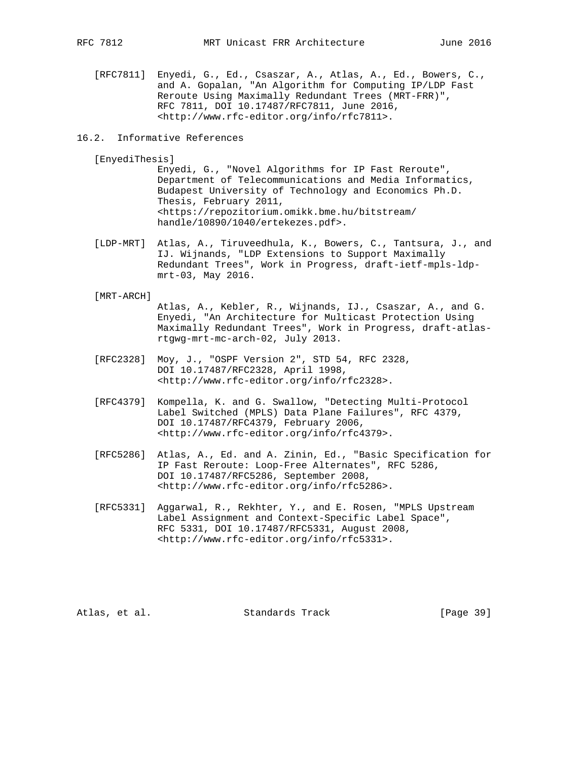[RFC7811] Enyedi, G., Ed., Csaszar, A., Atlas, A., Ed., Bowers, C., and A. Gopalan, "An Algorithm for Computing IP/LDP Fast Reroute Using Maximally Redundant Trees (MRT-FRR)", RFC 7811, DOI 10.17487/RFC7811, June 2016, <http://www.rfc-editor.org/info/rfc7811>.

## 16.2. Informative References

#### [EnyediThesis]

 Enyedi, G., "Novel Algorithms for IP Fast Reroute", Department of Telecommunications and Media Informatics, Budapest University of Technology and Economics Ph.D. Thesis, February 2011, <https://repozitorium.omikk.bme.hu/bitstream/ handle/10890/1040/ertekezes.pdf>.

 [LDP-MRT] Atlas, A., Tiruveedhula, K., Bowers, C., Tantsura, J., and IJ. Wijnands, "LDP Extensions to Support Maximally Redundant Trees", Work in Progress, draft-ietf-mpls-ldp mrt-03, May 2016.

#### [MRT-ARCH]

 Atlas, A., Kebler, R., Wijnands, IJ., Csaszar, A., and G. Enyedi, "An Architecture for Multicast Protection Using Maximally Redundant Trees", Work in Progress, draft-atlas rtgwg-mrt-mc-arch-02, July 2013.

- [RFC2328] Moy, J., "OSPF Version 2", STD 54, RFC 2328, DOI 10.17487/RFC2328, April 1998, <http://www.rfc-editor.org/info/rfc2328>.
- [RFC4379] Kompella, K. and G. Swallow, "Detecting Multi-Protocol Label Switched (MPLS) Data Plane Failures", RFC 4379, DOI 10.17487/RFC4379, February 2006, <http://www.rfc-editor.org/info/rfc4379>.
- [RFC5286] Atlas, A., Ed. and A. Zinin, Ed., "Basic Specification for IP Fast Reroute: Loop-Free Alternates", RFC 5286, DOI 10.17487/RFC5286, September 2008, <http://www.rfc-editor.org/info/rfc5286>.
- [RFC5331] Aggarwal, R., Rekhter, Y., and E. Rosen, "MPLS Upstream Label Assignment and Context-Specific Label Space", RFC 5331, DOI 10.17487/RFC5331, August 2008, <http://www.rfc-editor.org/info/rfc5331>.

Atlas, et al. Standards Track [Page 39]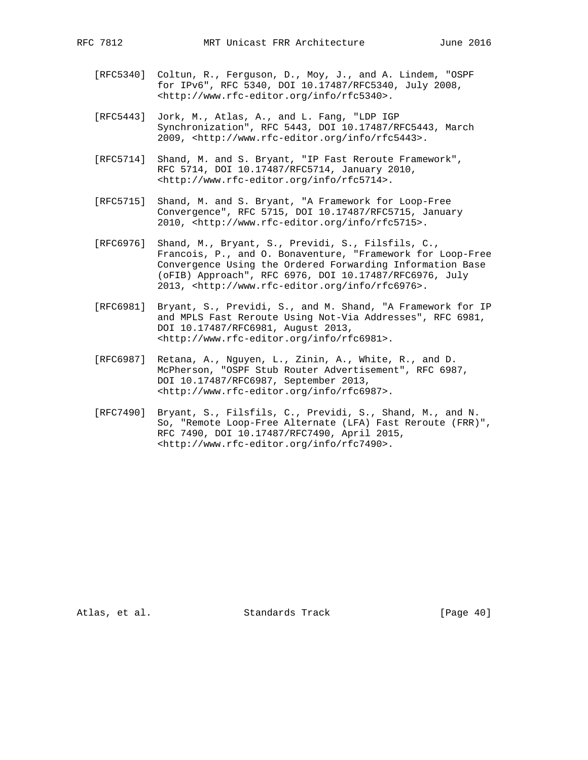- [RFC5340] Coltun, R., Ferguson, D., Moy, J., and A. Lindem, "OSPF for IPv6", RFC 5340, DOI 10.17487/RFC5340, July 2008, <http://www.rfc-editor.org/info/rfc5340>.
- [RFC5443] Jork, M., Atlas, A., and L. Fang, "LDP IGP Synchronization", RFC 5443, DOI 10.17487/RFC5443, March 2009, <http://www.rfc-editor.org/info/rfc5443>.
- [RFC5714] Shand, M. and S. Bryant, "IP Fast Reroute Framework", RFC 5714, DOI 10.17487/RFC5714, January 2010, <http://www.rfc-editor.org/info/rfc5714>.
- [RFC5715] Shand, M. and S. Bryant, "A Framework for Loop-Free Convergence", RFC 5715, DOI 10.17487/RFC5715, January 2010, <http://www.rfc-editor.org/info/rfc5715>.
- [RFC6976] Shand, M., Bryant, S., Previdi, S., Filsfils, C., Francois, P., and O. Bonaventure, "Framework for Loop-Free Convergence Using the Ordered Forwarding Information Base (oFIB) Approach", RFC 6976, DOI 10.17487/RFC6976, July 2013, <http://www.rfc-editor.org/info/rfc6976>.
- [RFC6981] Bryant, S., Previdi, S., and M. Shand, "A Framework for IP and MPLS Fast Reroute Using Not-Via Addresses", RFC 6981, DOI 10.17487/RFC6981, August 2013, <http://www.rfc-editor.org/info/rfc6981>.
- [RFC6987] Retana, A., Nguyen, L., Zinin, A., White, R., and D. McPherson, "OSPF Stub Router Advertisement", RFC 6987, DOI 10.17487/RFC6987, September 2013, <http://www.rfc-editor.org/info/rfc6987>.
- [RFC7490] Bryant, S., Filsfils, C., Previdi, S., Shand, M., and N. So, "Remote Loop-Free Alternate (LFA) Fast Reroute (FRR)", RFC 7490, DOI 10.17487/RFC7490, April 2015, <http://www.rfc-editor.org/info/rfc7490>.

Atlas, et al. Standards Track [Page 40]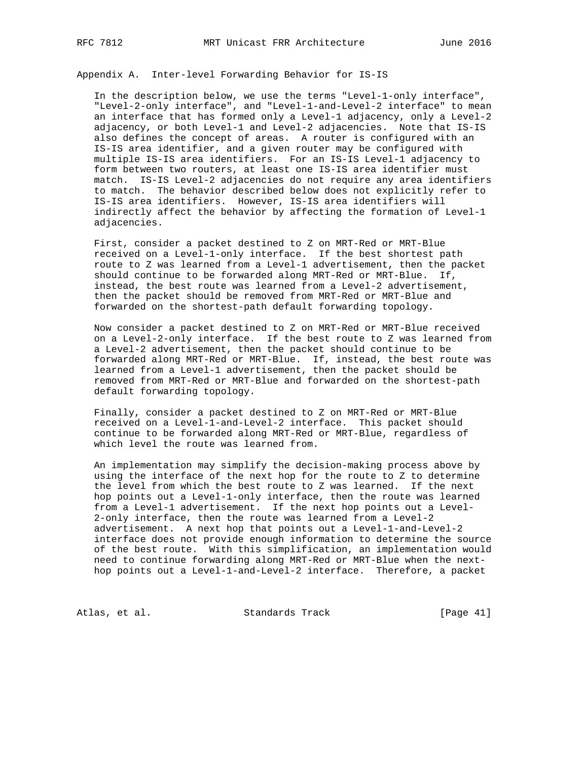Appendix A. Inter-level Forwarding Behavior for IS-IS

 In the description below, we use the terms "Level-1-only interface", "Level-2-only interface", and "Level-1-and-Level-2 interface" to mean an interface that has formed only a Level-1 adjacency, only a Level-2 adjacency, or both Level-1 and Level-2 adjacencies. Note that IS-IS also defines the concept of areas. A router is configured with an IS-IS area identifier, and a given router may be configured with multiple IS-IS area identifiers. For an IS-IS Level-1 adjacency to form between two routers, at least one IS-IS area identifier must match. IS-IS Level-2 adjacencies do not require any area identifiers to match. The behavior described below does not explicitly refer to IS-IS area identifiers. However, IS-IS area identifiers will indirectly affect the behavior by affecting the formation of Level-1 adjacencies.

 First, consider a packet destined to Z on MRT-Red or MRT-Blue received on a Level-1-only interface. If the best shortest path route to Z was learned from a Level-1 advertisement, then the packet should continue to be forwarded along MRT-Red or MRT-Blue. If, instead, the best route was learned from a Level-2 advertisement, then the packet should be removed from MRT-Red or MRT-Blue and forwarded on the shortest-path default forwarding topology.

 Now consider a packet destined to Z on MRT-Red or MRT-Blue received on a Level-2-only interface. If the best route to Z was learned from a Level-2 advertisement, then the packet should continue to be forwarded along MRT-Red or MRT-Blue. If, instead, the best route was learned from a Level-1 advertisement, then the packet should be removed from MRT-Red or MRT-Blue and forwarded on the shortest-path default forwarding topology.

 Finally, consider a packet destined to Z on MRT-Red or MRT-Blue received on a Level-1-and-Level-2 interface. This packet should continue to be forwarded along MRT-Red or MRT-Blue, regardless of which level the route was learned from.

 An implementation may simplify the decision-making process above by using the interface of the next hop for the route to Z to determine the level from which the best route to Z was learned. If the next hop points out a Level-1-only interface, then the route was learned from a Level-1 advertisement. If the next hop points out a Level- 2-only interface, then the route was learned from a Level-2 advertisement. A next hop that points out a Level-1-and-Level-2 interface does not provide enough information to determine the source of the best route. With this simplification, an implementation would need to continue forwarding along MRT-Red or MRT-Blue when the next hop points out a Level-1-and-Level-2 interface. Therefore, a packet

Atlas, et al. Standards Track [Page 41]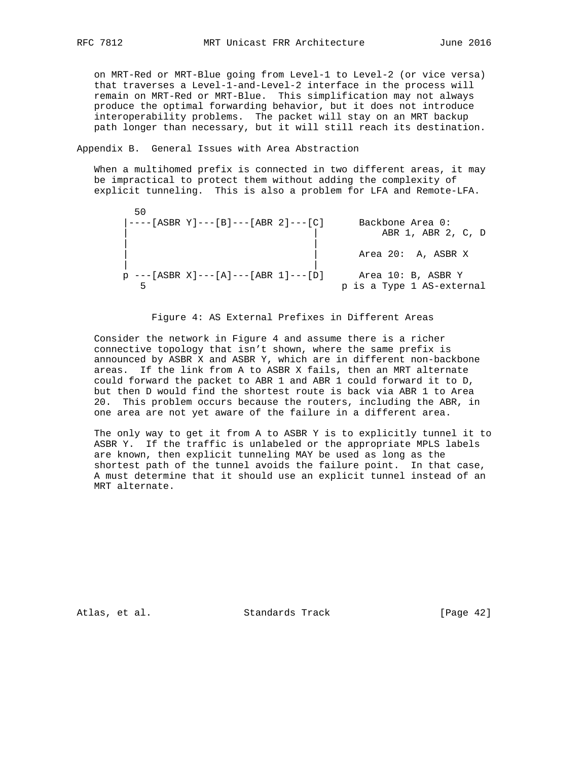on MRT-Red or MRT-Blue going from Level-1 to Level-2 (or vice versa) that traverses a Level-1-and-Level-2 interface in the process will remain on MRT-Red or MRT-Blue. This simplification may not always produce the optimal forwarding behavior, but it does not introduce interoperability problems. The packet will stay on an MRT backup path longer than necessary, but it will still reach its destination.

Appendix B. General Issues with Area Abstraction

 When a multihomed prefix is connected in two different areas, it may be impractical to protect them without adding the complexity of explicit tunneling. This is also a problem for LFA and Remote-LFA.

| 50<br>$\vert$ ----[ASBR Y]---[B]---[ABR 2]---[C] | Backbone Area 0:<br>ABR 1, ABR 2, C, D          |
|--------------------------------------------------|-------------------------------------------------|
|                                                  | Area 20: A, ASBR X                              |
| $p$ ---[ASBR X]---[A]---[ABR 1]---[D]            | Area 10: B, ASBR Y<br>p is a Type 1 AS-external |

## Figure 4: AS External Prefixes in Different Areas

 Consider the network in Figure 4 and assume there is a richer connective topology that isn't shown, where the same prefix is announced by ASBR X and ASBR Y, which are in different non-backbone areas. If the link from A to ASBR X fails, then an MRT alternate could forward the packet to ABR 1 and ABR 1 could forward it to D, but then D would find the shortest route is back via ABR 1 to Area 20. This problem occurs because the routers, including the ABR, in one area are not yet aware of the failure in a different area.

 The only way to get it from A to ASBR Y is to explicitly tunnel it to ASBR Y. If the traffic is unlabeled or the appropriate MPLS labels are known, then explicit tunneling MAY be used as long as the shortest path of the tunnel avoids the failure point. In that case, A must determine that it should use an explicit tunnel instead of an MRT alternate.

Atlas, et al. Standards Track [Page 42]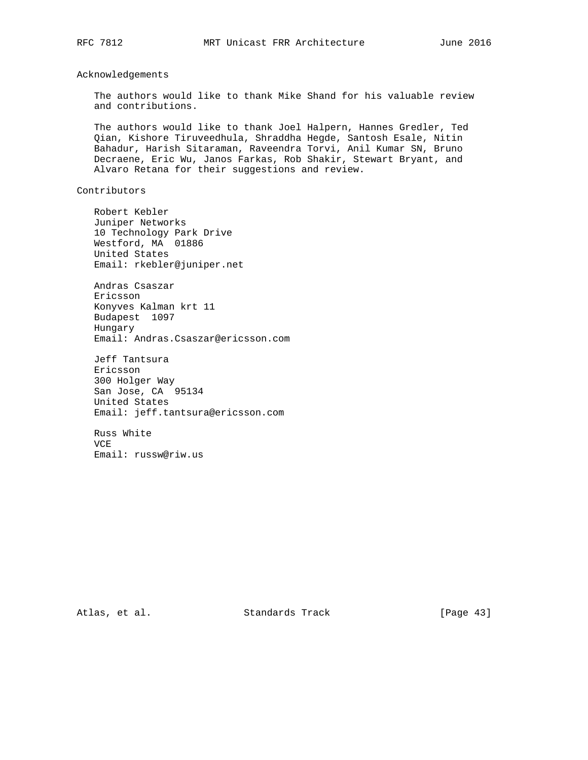Acknowledgements

 The authors would like to thank Mike Shand for his valuable review and contributions.

 The authors would like to thank Joel Halpern, Hannes Gredler, Ted Qian, Kishore Tiruveedhula, Shraddha Hegde, Santosh Esale, Nitin Bahadur, Harish Sitaraman, Raveendra Torvi, Anil Kumar SN, Bruno Decraene, Eric Wu, Janos Farkas, Rob Shakir, Stewart Bryant, and Alvaro Retana for their suggestions and review.

Contributors

 Robert Kebler Juniper Networks 10 Technology Park Drive Westford, MA 01886 United States Email: rkebler@juniper.net

 Andras Csaszar Ericsson Konyves Kalman krt 11 Budapest 1097 Hungary Email: Andras.Csaszar@ericsson.com

 Jeff Tantsura Ericsson 300 Holger Way San Jose, CA 95134 United States Email: jeff.tantsura@ericsson.com

 Russ White VCE Email: russw@riw.us

Atlas, et al. Standards Track [Page 43]